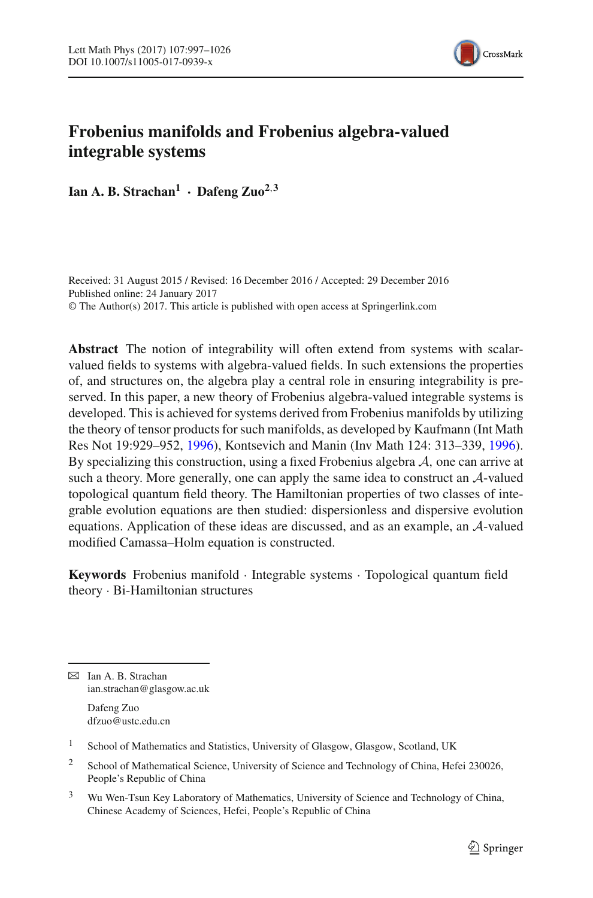

# **Frobenius manifolds and Frobenius algebra-valued integrable systems**

Ian A. B. Strachan<sup>1</sup> **·** Dafeng  $\text{Zuo}^{2,3}$ 

Received: 31 August 2015 / Revised: 16 December 2016 / Accepted: 29 December 2016 Published online: 24 January 2017 © The Author(s) 2017. This article is published with open access at Springerlink.com

**Abstract** The notion of integrability will often extend from systems with scalarvalued fields to systems with algebra-valued fields. In such extensions the properties of, and structures on, the algebra play a central role in ensuring integrability is preserved. In this paper, a new theory of Frobenius algebra-valued integrable systems is developed. This is achieved for systems derived from Frobenius manifolds by utilizing the theory of tensor products for such manifolds, as developed by Kaufmann (Int Math Res Not 19:929–952, [1996\)](#page-28-0), Kontsevich and Manin (Inv Math 124: 313–339, [1996\)](#page-28-1). By specializing this construction, using a fixed Frobenius algebra *A*, one can arrive at such a theory. More generally, one can apply the same idea to construct an *A*-valued topological quantum field theory. The Hamiltonian properties of two classes of integrable evolution equations are then studied: dispersionless and dispersive evolution equations. Application of these ideas are discussed, and as an example, an *A*-valued modified Camassa–Holm equation is constructed.

**Keywords** Frobenius manifold · Integrable systems · Topological quantum field theory · Bi-Hamiltonian structures

B Ian A. B. Strachan ian.strachan@glasgow.ac.uk

> Dafeng Zuo dfzuo@ustc.edu.cn

 $1$  School of Mathematics and Statistics, University of Glasgow, Glasgow, Scotland, UK

<sup>2</sup> School of Mathematical Science, University of Science and Technology of China, Hefei 230026, People's Republic of China

<sup>3</sup> Wu Wen-Tsun Key Laboratory of Mathematics, University of Science and Technology of China, Chinese Academy of Sciences, Hefei, People's Republic of China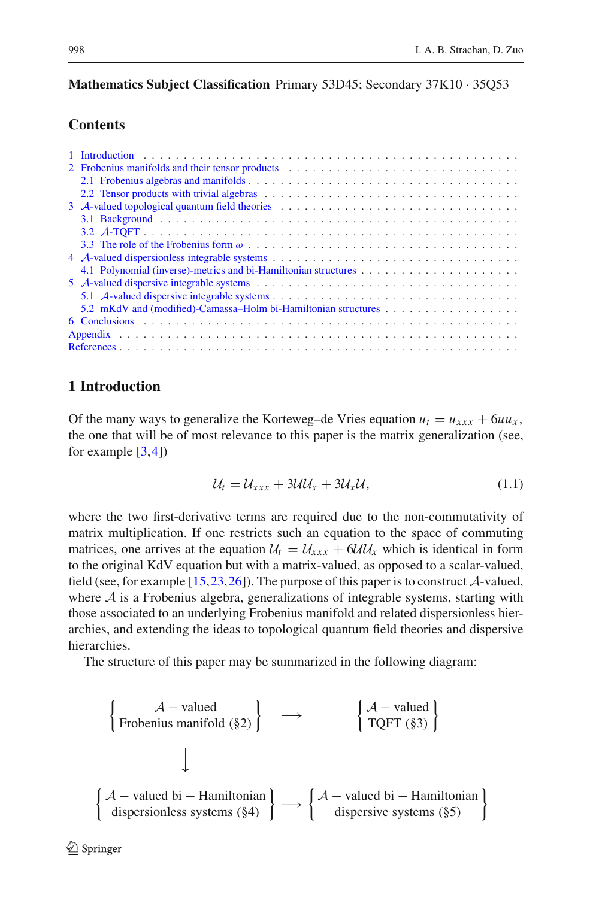# **Mathematics Subject Classification** Primary 53D45; Secondary 37K10 · 35Q53

# **Contents**

| 2 Frobenius manifolds and their tensor products (2000) (2000) (2000) (2000) (2000) (2000) (2000) (2000) (2000) (2000) (2000) (2000) (2000) (2000) (2000) (2000) (2000) (2000) (2000) (2000) (2000) (2000) (2000) (2000) (2000) |  |  |  |  |  |  |  |  |  |
|--------------------------------------------------------------------------------------------------------------------------------------------------------------------------------------------------------------------------------|--|--|--|--|--|--|--|--|--|
|                                                                                                                                                                                                                                |  |  |  |  |  |  |  |  |  |
|                                                                                                                                                                                                                                |  |  |  |  |  |  |  |  |  |
|                                                                                                                                                                                                                                |  |  |  |  |  |  |  |  |  |
|                                                                                                                                                                                                                                |  |  |  |  |  |  |  |  |  |
|                                                                                                                                                                                                                                |  |  |  |  |  |  |  |  |  |
|                                                                                                                                                                                                                                |  |  |  |  |  |  |  |  |  |
|                                                                                                                                                                                                                                |  |  |  |  |  |  |  |  |  |
|                                                                                                                                                                                                                                |  |  |  |  |  |  |  |  |  |
|                                                                                                                                                                                                                                |  |  |  |  |  |  |  |  |  |
|                                                                                                                                                                                                                                |  |  |  |  |  |  |  |  |  |
|                                                                                                                                                                                                                                |  |  |  |  |  |  |  |  |  |
|                                                                                                                                                                                                                                |  |  |  |  |  |  |  |  |  |
|                                                                                                                                                                                                                                |  |  |  |  |  |  |  |  |  |
|                                                                                                                                                                                                                                |  |  |  |  |  |  |  |  |  |
|                                                                                                                                                                                                                                |  |  |  |  |  |  |  |  |  |

# <span id="page-1-0"></span>**1 Introduction**

Of the many ways to generalize the Korteweg–de Vries equation  $u_t = u_{xxx} + 6uu_x$ , the one that will be of most relevance to this paper is the matrix generalization (see, for example  $[3,4]$  $[3,4]$  $[3,4]$  $[3,4]$ 

<span id="page-1-1"></span>
$$
\mathcal{U}_t = \mathcal{U}_{xxx} + 3\mathcal{U}\mathcal{U}_x + 3\mathcal{U}_x\mathcal{U},\tag{1.1}
$$

where the two first-derivative terms are required due to the non-commutativity of matrix multiplication. If one restricts such an equation to the space of commuting matrices, one arrives at the equation  $U_t = U_{xxx} + 6U U_x$  which is identical in form to the original KdV equation but with a matrix-valued, as opposed to a scalar-valued, field (see, for example [\[15](#page-28-5)[,23](#page-29-0)[,26](#page-29-1)]). The purpose of this paper is to construct *A*-valued, where  $A$  is a Frobenius algebra, generalizations of integrable systems, starting with those associated to an underlying Frobenius manifold and related dispersionless hierarchies, and extending the ideas to topological quantum field theories and dispersive hierarchies.

The structure of this paper may be summarized in the following diagram:

$$
\left\{\n\begin{array}{c}\n\mathcal{A} - \text{valued} \\
\text{Frobenius manifold } (\S 2)\n\end{array}\n\right\}\n\longrightarrow\n\left\{\n\begin{array}{c}\n\mathcal{A} - \text{valued} \\
\text{TQFT } (\S 3)\n\end{array}\n\right\}
$$
\n
$$
\left\{\n\begin{array}{c}\n\mathcal{A} - \text{valued bi} - \text{Hamiltonian} \\
\text{dispersionless systems } (\S 4)\n\end{array}\n\right\}\n\longrightarrow\n\left\{\n\begin{array}{c}\n\mathcal{A} - \text{valued bi} - \text{Hamiltonian} \\
\text{dispersive systems } (\S 5)\n\end{array}\n\right\}
$$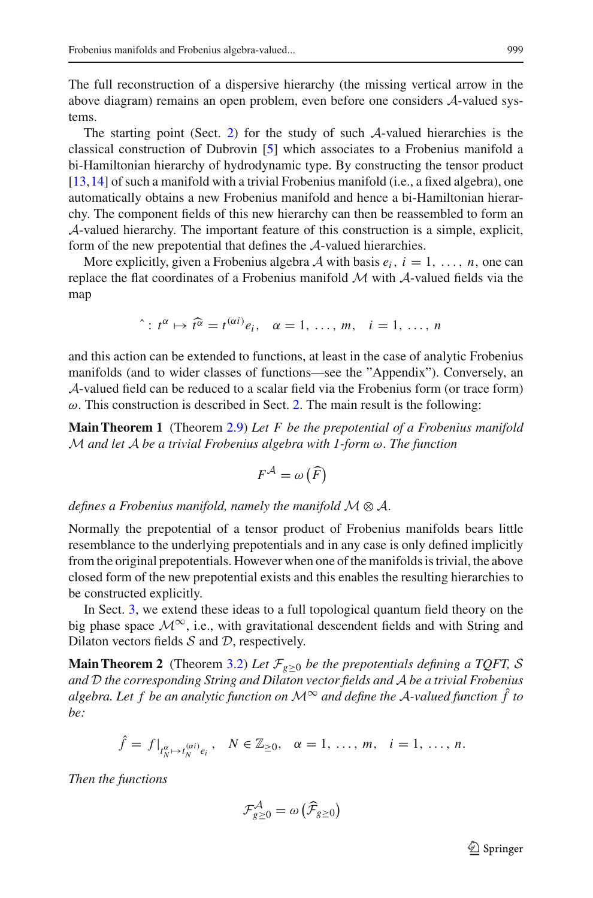The full reconstruction of a dispersive hierarchy (the missing vertical arrow in the above diagram) remains an open problem, even before one considers *A*-valued systems.

The starting point (Sect. [2\)](#page-3-0) for the study of such *A*-valued hierarchies is the classical construction of Dubrovin [\[5\]](#page-28-6) which associates to a Frobenius manifold a bi-Hamiltonian hierarchy of hydrodynamic type. By constructing the tensor product [\[13](#page-28-0)[,14](#page-28-1)] of such a manifold with a trivial Frobenius manifold (i.e., a fixed algebra), one automatically obtains a new Frobenius manifold and hence a bi-Hamiltonian hierarchy. The component fields of this new hierarchy can then be reassembled to form an *A*-valued hierarchy. The important feature of this construction is a simple, explicit, form of the new prepotential that defines the *A*-valued hierarchies.

More explicitly, given a Frobenius algebra A with basis  $e_i$ ,  $i = 1, \ldots, n$ , one can replace the flat coordinates of a Frobenius manifold *M* with *A*-valued fields via the map

$$
\hat{i}: t^{\alpha} \mapsto \hat{t}^{\alpha} = t^{(\alpha i)} e_i, \quad \alpha = 1, \ldots, m, \quad i = 1, \ldots, n
$$

and this action can be extended to functions, at least in the case of analytic Frobenius manifolds (and to wider classes of functions—see the "Appendix"). Conversely, an *A*-valued field can be reduced to a scalar field via the Frobenius form (or trace form)  $\omega$ . This construction is described in Sect. [2.](#page-3-0) The main result is the following:

**Main Theorem 1** (Theorem [2.9\)](#page-7-1) *Let F be the prepotential of a Frobenius manifold M and let A be a trivial Frobenius algebra with 1-form* ω. *The function*

$$
F^{\mathcal{A}} = \omega\left(\widehat{F}\right)
$$

*defines a Frobenius manifold, namely the manifold*  $M \otimes A$ .

Normally the prepotential of a tensor product of Frobenius manifolds bears little resemblance to the underlying prepotentials and in any case is only defined implicitly from the original prepotentials. However when one of the manifolds is trivial, the above closed form of the new prepotential exists and this enables the resulting hierarchies to be constructed explicitly.

In Sect. [3,](#page-12-0) we extend these ideas to a full topological quantum field theory on the big phase space  $\mathcal{M}^{\infty}$ , i.e., with gravitational descendent fields and with String and Dilaton vectors fields *S* and *D*, respectively.

**Main Theorem 2** (Theorem [3.2\)](#page-14-1) Let  $\mathcal{F}_{g\geq0}$  be the prepotentials defining a TQFT, S *and D the corresponding String and Dilaton vector fields and A be a trivial Frobenius algebra. Let f be an analytic function on*  $\mathcal{M}^{\infty}$  *and define the*  $\mathcal{A}$ *-valued function*  $\hat{f}$  *to be:*

$$
\hat{f} = f|_{t_N^{\alpha} \mapsto t_N^{(\alpha i)} e_i}, \quad N \in \mathbb{Z}_{\geq 0}, \quad \alpha = 1, \ldots, m, \quad i = 1, \ldots, n.
$$

*Then the functions*

$$
\mathcal{F}_{g\geq 0}^{\mathcal{A}} = \omega\left(\widehat{\mathcal{F}}_{g\geq 0}\right)
$$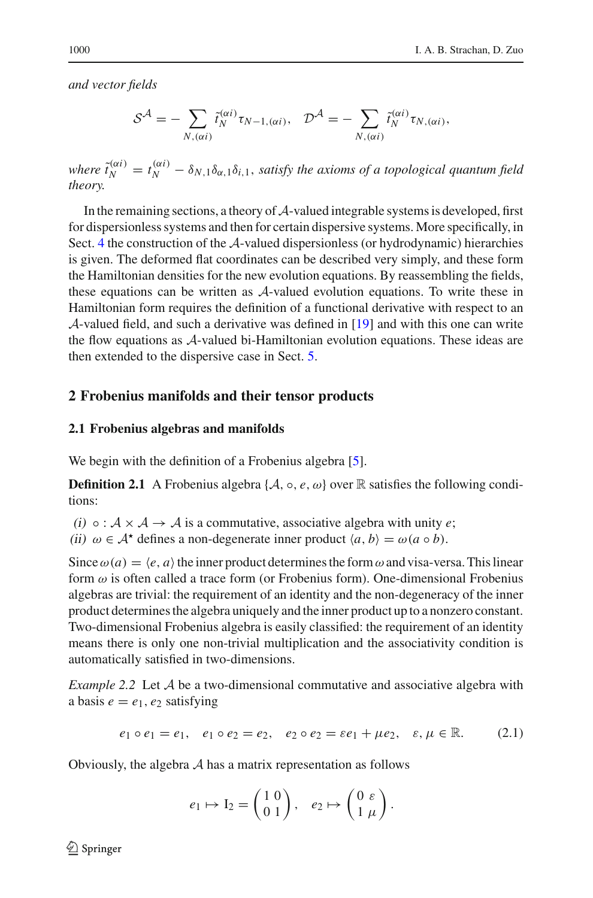*and vector fields*

$$
S^{\mathcal{A}} = -\sum_{N, (\alpha i)} \tilde{t}_{N}^{(\alpha i)} \tau_{N-1, (\alpha i)}, \quad \mathcal{D}^{\mathcal{A}} = -\sum_{N, (\alpha i)} \tilde{t}_{N}^{(\alpha i)} \tau_{N, (\alpha i)},
$$

where  $\tilde{t}_N^{(\alpha i)} = t_N^{(\alpha i)} - \delta_{N,1} \delta_{\alpha,1} \delta_{i,1}$ , *satisfy the axioms of a topological quantum field theory.*

In the remaining sections, a theory of*A*-valued integrable systems is developed, first for dispersionless systems and then for certain dispersive systems. More specifically, in Sect. [4](#page-16-1) the construction of the *A*-valued dispersionless (or hydrodynamic) hierarchies is given. The deformed flat coordinates can be described very simply, and these form the Hamiltonian densities for the new evolution equations. By reassembling the fields, these equations can be written as *A*-valued evolution equations. To write these in Hamiltonian form requires the definition of a functional derivative with respect to an *A*-valued field, and such a derivative was defined in [\[19\]](#page-29-2) and with this one can write the flow equations as *A*-valued bi-Hamiltonian evolution equations. These ideas are then extended to the dispersive case in Sect. [5.](#page-22-0)

# <span id="page-3-0"></span>**2 Frobenius manifolds and their tensor products**

#### <span id="page-3-1"></span>**2.1 Frobenius algebras and manifolds**

We begin with the definition of a Frobenius algebra [\[5](#page-28-6)].

**Definition 2.1** A Frobenius algebra { $A$ ,  $\circ$ ,  $e$ ,  $\omega$ } over R satisfies the following conditions:

(i)  $\circ$  :  $A \times A \rightarrow A$  is a commutative, associative algebra with unity *e*;

(ii)  $\omega \in A^*$  defines a non-degenerate inner product  $\langle a, b \rangle = \omega(a \circ b)$ .

Since  $\omega(a) = \langle e, a \rangle$  the inner product determines the form  $\omega$  and visa-versa. This linear form  $\omega$  is often called a trace form (or Frobenius form). One-dimensional Frobenius algebras are trivial: the requirement of an identity and the non-degeneracy of the inner product determines the algebra uniquely and the inner product up to a nonzero constant. Two-dimensional Frobenius algebra is easily classified: the requirement of an identity means there is only one non-trivial multiplication and the associativity condition is automatically satisfied in two-dimensions.

<span id="page-3-2"></span>*Example 2.2* Let *A* be a two-dimensional commutative and associative algebra with a basis  $e = e_1, e_2$  satisfying

$$
e_1 \circ e_1 = e_1, \quad e_1 \circ e_2 = e_2, \quad e_2 \circ e_2 = \varepsilon e_1 + \mu e_2, \quad \varepsilon, \mu \in \mathbb{R}.
$$
 (2.1)

Obviously, the algebra *A* has a matrix representation as follows

$$
e_1 \mapsto I_2 = \begin{pmatrix} 1 & 0 \\ 0 & 1 \end{pmatrix}, \quad e_2 \mapsto \begin{pmatrix} 0 & \varepsilon \\ 1 & \mu \end{pmatrix}.
$$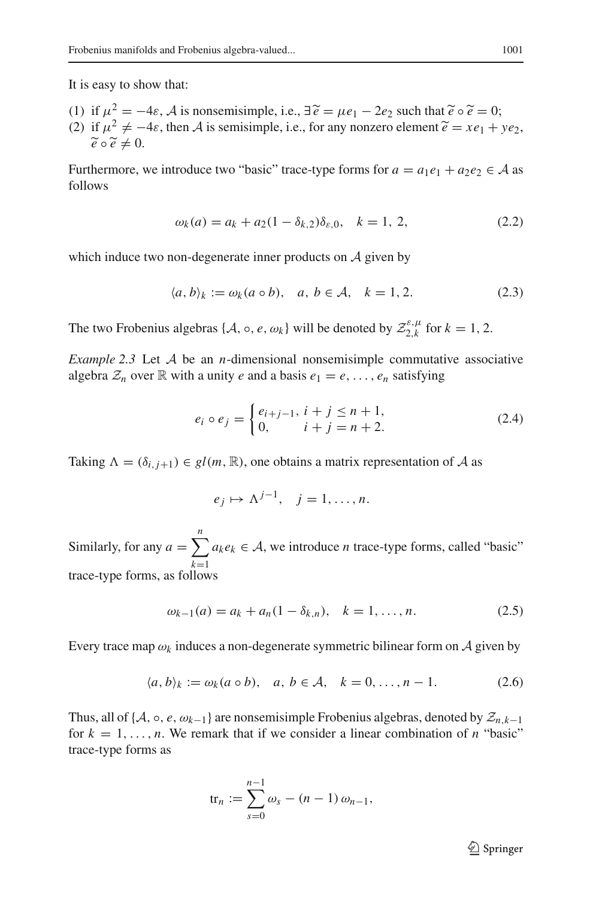It is easy to show that:

(1) if  $\mu^2 = -4\varepsilon$ , *A* is nonsemisimple, i.e.,  $\exists \tilde{e} = \mu e_1 - 2e_2$  such that  $\tilde{e} \circ \tilde{e} = 0$ ; (2) if  $\mu^2 \neq -4\varepsilon$ , then *A* is semisimple, i.e., for any nonzero element  $\tilde{e} = xe_1 + ye_2$ ,  $\widetilde{e} \circ \widetilde{e} \neq 0$ .

Furthermore, we introduce two "basic" trace-type forms for  $a = a_1e_1 + a_2e_2 \in A$  as follows

$$
\omega_k(a) = a_k + a_2(1 - \delta_{k,2})\delta_{\varepsilon,0}, \quad k = 1, 2,
$$
 (2.2)

which induce two non-degenerate inner products on *A* given by

$$
\langle a, b \rangle_k := \omega_k(a \circ b), \quad a, b \in \mathcal{A}, \quad k = 1, 2. \tag{2.3}
$$

The two Frobenius algebras { $A$ ,  $\circ$ ,  $e$ ,  $\omega_k$ } will be denoted by  $\mathcal{Z}_{2,k}^{\varepsilon,\mu}$  for  $k = 1, 2$ .

<span id="page-4-0"></span>*Example 2.3* Let *A* be an *n*-dimensional nonsemisimple commutative associative algebra  $\mathcal{Z}_n$  over  $\mathbb R$  with a unity *e* and a basis  $e_1 = e, \ldots, e_n$  satisfying

$$
e_i \circ e_j = \begin{cases} e_{i+j-1}, \ i+j \le n+1, \\ 0, \quad i+j = n+2. \end{cases} \tag{2.4}
$$

Taking  $\Lambda = (\delta_{i,i+1}) \in gl(m, \mathbb{R})$ , one obtains a matrix representation of A as

$$
e_j \mapsto \Lambda^{j-1}, \quad j=1,\ldots,n.
$$

Similarly, for any  $a = \sum_{k}^{n} a_k e_k \in A$ , we introduce *n* trace-type forms, called "basic" *k*=1 trace-type forms, as follows

$$
\omega_{k-1}(a) = a_k + a_n(1 - \delta_{k,n}), \quad k = 1, \dots, n. \tag{2.5}
$$

Every trace map  $\omega_k$  induces a non-degenerate symmetric bilinear form on A given by

$$
\langle a, b \rangle_k := \omega_k(a \circ b), \quad a, b \in \mathcal{A}, \quad k = 0, \dots, n - 1. \tag{2.6}
$$

Thus, all of { $A$ , ∘,  $e$ ,  $\omega_{k-1}$ } are nonsemisimple Frobenius algebras, denoted by  $\mathcal{Z}_{n,k-1}$ for  $k = 1, \ldots, n$ . We remark that if we consider a linear combination of *n* "basic" trace-type forms as

$$
\text{tr}_n := \sum_{s=0}^{n-1} \omega_s - (n-1) \omega_{n-1},
$$

 $\mathcal{D}$  Springer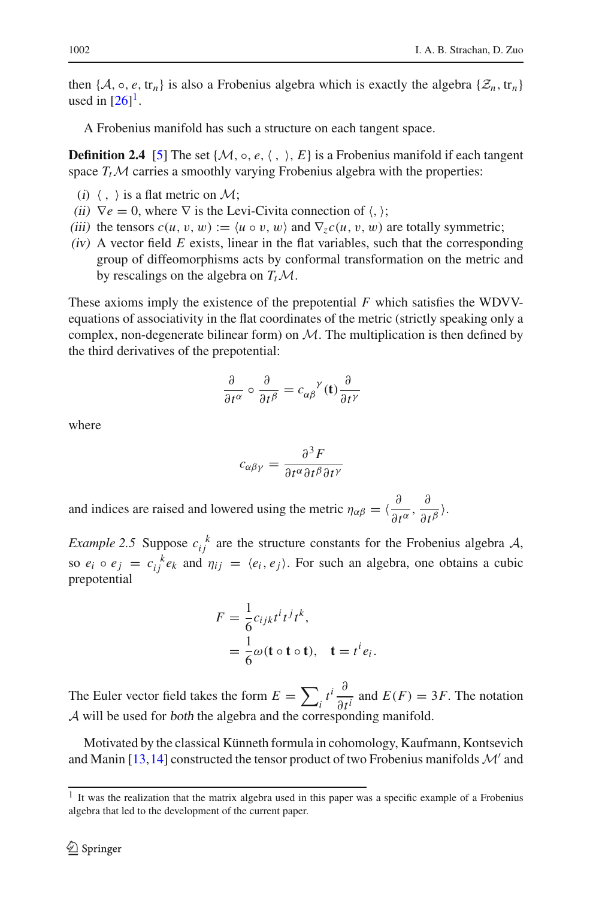then { $A$ ,  $\circ$ ,  $e$ , tr<sub>n</sub>} is also a Frobenius algebra which is exactly the algebra { $\mathcal{Z}_n$ , tr<sub>n</sub>} used in  $[26]$  $[26]$ <sup>1</sup>.

A Frobenius manifold has such a structure on each tangent space.

**Definition 2.4** [\[5](#page-28-6)] The set { $M$ ,  $\circ$ ,  $e$ ,  $\langle$ ,  $\rangle$ ,  $E$ } is a Frobenius manifold if each tangent space  $T_tM$  carries a smoothly varying Frobenius algebra with the properties:

- (i)  $\langle , \rangle$  is a flat metric on *M*;
- (ii)  $\nabla e = 0$ , where  $\nabla$  is the Levi-Civita connection of  $\langle , \rangle$ ;
- (iii) the tensors  $c(u, v, w) := \langle u \circ v, w \rangle$  and  $\nabla_z c(u, v, w)$  are totally symmetric;
- $(iv)$  A vector field  $E$  exists, linear in the flat variables, such that the corresponding group of diffeomorphisms acts by conformal transformation on the metric and by rescalings on the algebra on  $T_t \mathcal{M}$ .

These axioms imply the existence of the prepotential *F* which satisfies the WDVVequations of associativity in the flat coordinates of the metric (strictly speaking only a complex, non-degenerate bilinear form) on *M*. The multiplication is then defined by the third derivatives of the prepotential:

$$
\frac{\partial}{\partial t^{\alpha}} \circ \frac{\partial}{\partial t^{\beta}} = c_{\alpha\beta}^{\qquad \gamma}(\mathbf{t}) \frac{\partial}{\partial t^{\gamma}}
$$

where

$$
c_{\alpha\beta\gamma} = \frac{\partial^3 F}{\partial t^\alpha \partial t^\beta \partial t^\gamma}
$$

<span id="page-5-1"></span>and indices are raised and lowered using the metric  $\eta_{\alpha\beta} = \langle \frac{\partial}{\partial t^{\alpha}}, \frac{\partial}{\partial t^{\beta}} \rangle$ .

*Example 2.5* Suppose  $c_{ij}^k$  are the structure constants for the Frobenius algebra *A*, so  $e_i \circ e_j = c_{ij}^k e_k$  and  $\eta_{ij} = \langle e_i, e_j \rangle$ . For such an algebra, one obtains a cubic prepotential

$$
F = \frac{1}{6} c_{ijk} t^i t^j t^k,
$$
  
=  $\frac{1}{6} \omega$  (**t**  $\circ$  **t**), **t** =  $t^i e_i$ .

The Euler vector field takes the form  $E = \sum_i t^i \frac{\partial}{\partial t^i}$  and  $E(F) = 3F$ . The notation *A* will be used for both the algebra and the corresponding manifold.

Motivated by the classical Künneth formula in cohomology, Kaufmann, Kontsevich and Manin [\[13](#page-28-0)[,14](#page-28-1)] constructed the tensor product of two Frobenius manifolds  $\mathcal{M}'$  and

<span id="page-5-0"></span> $<sup>1</sup>$  It was the realization that the matrix algebra used in this paper was a specific example of a Frobenius</sup> algebra that led to the development of the current paper.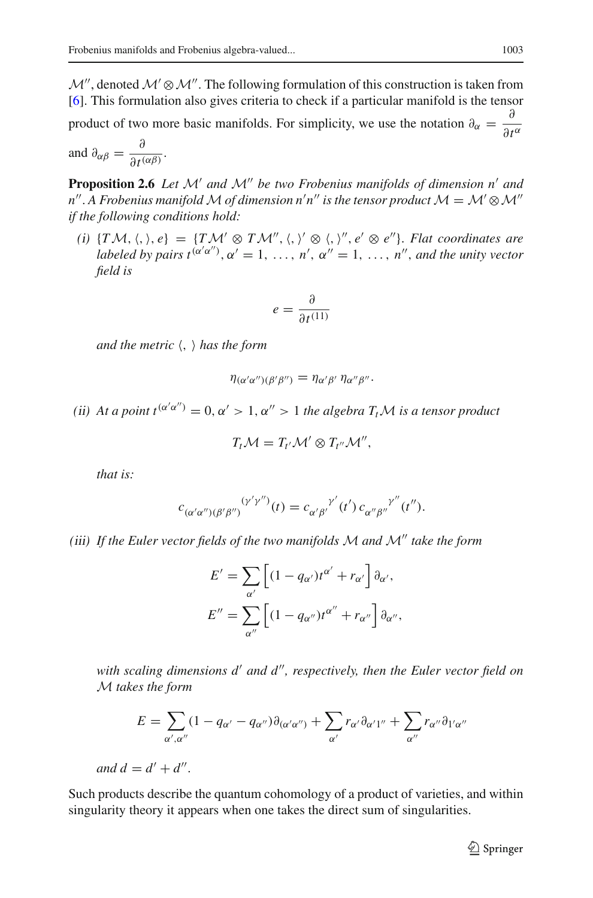$\mathcal{M}$ , denoted  $\mathcal{M}' \otimes \mathcal{M}''$ . The following formulation of this construction is taken from [\[6](#page-28-7)]. This formulation also gives criteria to check if a particular manifold is the tensor

product of two more basic manifolds. For simplicity, we use the notation  $\partial_{\alpha} = \frac{\partial}{\partial t^{\alpha}}$ 

<span id="page-6-0"></span>and  $\partial_{\alpha\beta} = \frac{\partial}{\partial t^{(\alpha\beta)}}$ .

**Proposition 2.6** *Let*  $\mathcal{M}'$  *and*  $\mathcal{M}''$  *be two Frobenius manifolds of dimension n' and n"* . A Frobenius manifold  $M$  of dimension n'n" is the tensor product  $M = \mathcal{M}' \otimes \mathcal{M}''$ *if the following conditions hold:*

 $(i)$   $\{TM, \langle , \rangle, e\} = \{TM' \otimes TM'', \langle , \rangle' \otimes \langle , \rangle'', e' \otimes e''\}.$  *Flat coordinates are labeled by pairs*  $t^{(\alpha'\alpha'')}$ ,  $\alpha' = 1, \ldots, n'$ ,  $\alpha'' = 1, \ldots, n''$ , and the unity vector *field is*

$$
e = \frac{\partial}{\partial t^{(11)}}
$$

*and the metric* , *has the form*

$$
\eta_{(\alpha'\alpha'')(\beta'\beta'')}=\eta_{\alpha'\beta'}\,\eta_{\alpha''\beta''}.
$$

(*ii*) At a point  $t^{(\alpha'\alpha'')} = 0, \alpha' > 1, \alpha'' > 1$  the algebra  $T_t\mathcal{M}$  is a tensor product

$$
T_t\mathcal{M}=T_{t'}\mathcal{M}'\otimes T_{t''}\mathcal{M}'',
$$

*that is:*

$$
c_{(\alpha'\alpha'')(\beta'\beta'')}(\gamma'\gamma'')(t) = c_{\alpha'\beta'}^{\gamma'}(t') c_{\alpha''\beta''}^{\gamma'''}(t'').
$$

*(*iii*) If the Euler vector fields of the two manifolds M and M take the form*

$$
E' = \sum_{\alpha'} \left[ (1 - q_{\alpha'}) t^{\alpha'} + r_{\alpha'} \right] \partial_{\alpha'},
$$
  

$$
E'' = \sum_{\alpha''} \left[ (1 - q_{\alpha''}) t^{\alpha''} + r_{\alpha''} \right] \partial_{\alpha''},
$$

*with scaling dimensions d' and d'', respectively, then the Euler vector field on M takes the form*

$$
E = \sum_{\alpha',\alpha''} (1 - q_{\alpha'} - q_{\alpha''}) \partial_{(\alpha'\alpha'')} + \sum_{\alpha'} r_{\alpha'} \partial_{\alpha'1''} + \sum_{\alpha''} r_{\alpha''} \partial_{1'\alpha''}
$$

*and*  $d = d' + d''$ .

Such products describe the quantum cohomology of a product of varieties, and within singularity theory it appears when one takes the direct sum of singularities.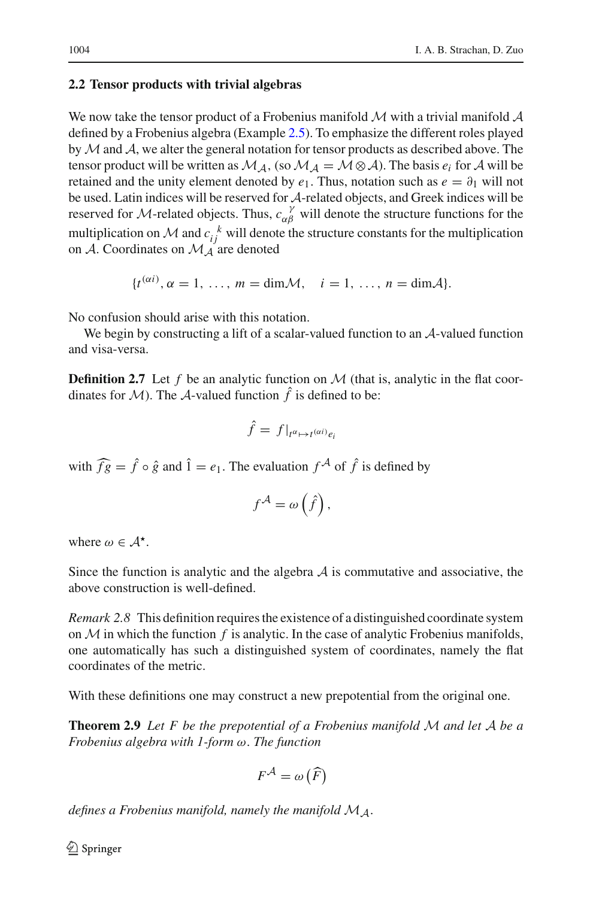# <span id="page-7-0"></span>**2.2 Tensor products with trivial algebras**

We now take the tensor product of a Frobenius manifold *M* with a trivial manifold *A* defined by a Frobenius algebra (Example [2.5\)](#page-5-1). To emphasize the different roles played by*M*and *A*, we alter the general notation for tensor products as described above. The tensor product will be written as  $\mathcal{M}_{\mathcal{A}}$ , (so  $\mathcal{M}_{\mathcal{A}} = \mathcal{M} \otimes \mathcal{A}$ ). The basis  $e_i$  for  $\mathcal{A}$  will be retained and the unity element denoted by  $e_1$ . Thus, notation such as  $e = \partial_1$  will not be used. Latin indices will be reserved for *A*-related objects, and Greek indices will be reserved for *M*-related objects. Thus,  $c_{\alpha\beta}^{\gamma}$  will denote the structure functions for the multiplication on *M* and  $c_{ij}^k$  will denote the structure constants for the multiplication on  $\mathcal A$ . Coordinates on  $\mathcal M_A$  are denoted

$$
\{t^{(\alpha i)}, \alpha = 1, \ldots, m = \dim \mathcal{M}, \quad i = 1, \ldots, n = \dim \mathcal{A}\}.
$$

No confusion should arise with this notation.

<span id="page-7-2"></span>We begin by constructing a lift of a scalar-valued function to an *A*-valued function and visa-versa.

**Definition 2.7** Let f be an analytic function on  $M$  (that is, analytic in the flat coordinates for *M*). The *A*-valued function  $\hat{f}$  is defined to be:

$$
\hat{f} = f|_{t^{\alpha} \mapsto t^{(\alpha i)} e_i}
$$

with  $\widehat{fg} = \widehat{f} \circ \widehat{g}$  and  $\widehat{1} = e_1$ . The evaluation  $f^{\mathcal{A}}$  of  $\widehat{f}$  is defined by

$$
f^{\mathcal{A}} = \omega\left(\hat{f}\right),\,
$$

where  $\omega \in A^*$ .

Since the function is analytic and the algebra  $A$  is commutative and associative, the above construction is well-defined.

*Remark 2.8* This definition requires the existence of a distinguished coordinate system on  $M$  in which the function  $f$  is analytic. In the case of analytic Frobenius manifolds, one automatically has such a distinguished system of coordinates, namely the flat coordinates of the metric.

<span id="page-7-1"></span>With these definitions one may construct a new prepotential from the original one.

**Theorem 2.9** *Let F be the prepotential of a Frobenius manifold M and let A be a Frobenius algebra with 1-form* ω. *The function*

$$
F^{\mathcal{A}} = \omega\left(\widehat{F}\right)
$$

*defines a Frobenius manifold, namely the manifold MA*.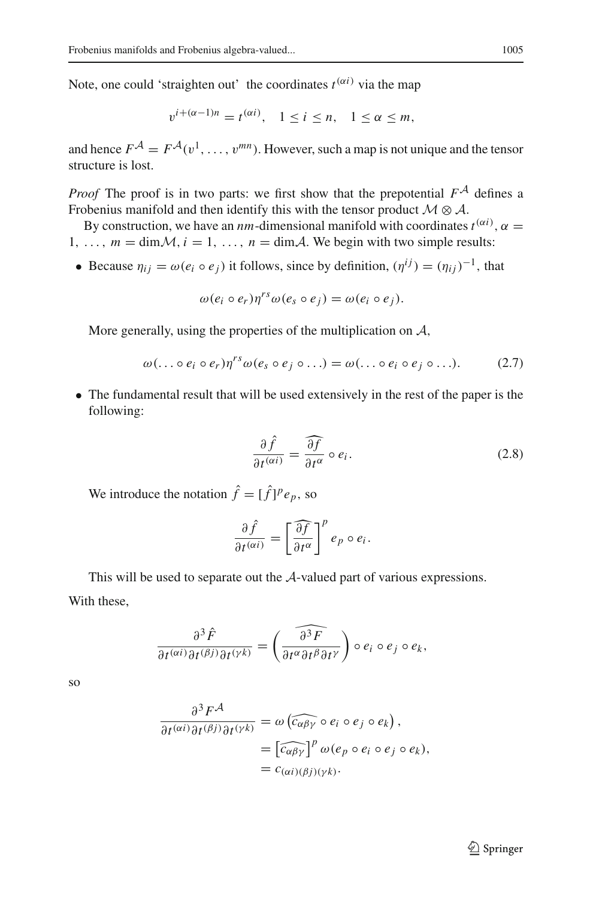Note, one could 'straighten out' the coordinates  $t^{(\alpha i)}$  via the map

$$
v^{i+(\alpha-1)n} = t^{(\alpha i)}, \quad 1 \le i \le n, \quad 1 \le \alpha \le m,
$$

and hence  $F^{\mathcal{A}} = F^{\mathcal{A}}(v^1, \ldots, v^{mn})$ . However, such a map is not unique and the tensor structure is lost.

*Proof* The proof is in two parts: we first show that the prepotential *FA* defines a Frobenius manifold and then identify this with the tensor product *M* ⊗ *A*.

By construction, we have an *nm*-dimensional manifold with coordinates  $t^{(\alpha i)}$ ,  $\alpha =$ 1, ...,  $m = \dim \mathcal{M}, i = 1, \ldots, n = \dim \mathcal{A}$ . We begin with two simple results:

• Because  $\eta_{ij} = \omega(e_i \circ e_j)$  it follows, since by definition,  $(\eta^{ij}) = (\eta_{ij})^{-1}$ , that

$$
\omega(e_i \circ e_r) \eta^{rs} \omega(e_s \circ e_j) = \omega(e_i \circ e_j).
$$

More generally, using the properties of the multiplication on *A*,

<span id="page-8-0"></span>
$$
\omega(\ldots \circ e_i \circ e_r) \eta^{rs} \omega(e_s \circ e_j \circ \ldots) = \omega(\ldots \circ e_i \circ e_j \circ \ldots). \tag{2.7}
$$

• The fundamental result that will be used extensively in the rest of the paper is the following:

<span id="page-8-1"></span>
$$
\frac{\partial \hat{f}}{\partial t^{(\alpha i)}} = \frac{\widehat{\partial f}}{\partial t^{\alpha}} \circ e_i.
$$
 (2.8)

We introduce the notation  $\hat{f} = [\hat{f}]^p e_p$ , so

$$
\frac{\partial \hat{f}}{\partial t^{(\alpha i)}} = \left[\frac{\widehat{\partial f}}{\partial t^{\alpha}}\right]^{p} e_{p} \circ e_{i}.
$$

This will be used to separate out the *A*-valued part of various expressions. With these,

$$
\frac{\partial^3 \hat{F}}{\partial t^{(\alpha i)} \partial t^{(\beta j)} \partial t^{(\gamma k)}} = \left(\widehat{\frac{\partial^3 F}{\partial t^\alpha \partial t^\beta \partial t^\gamma}}\right) \circ e_i \circ e_j \circ e_k,
$$

so

$$
\frac{\partial^3 F^{\mathcal{A}}}{\partial t^{(\alpha i)} \partial t^{(\beta j)} \partial t^{(\gamma k)}} = \omega \left( \widehat{c_{\alpha \beta \gamma}} \circ e_i \circ e_j \circ e_k \right),
$$
  
= 
$$
\left[ \widehat{c_{\alpha \beta \gamma}} \right]^p \omega(e_p \circ e_i \circ e_j \circ e_k),
$$
  
= 
$$
c_{(\alpha i)(\beta j)(\gamma k)}.
$$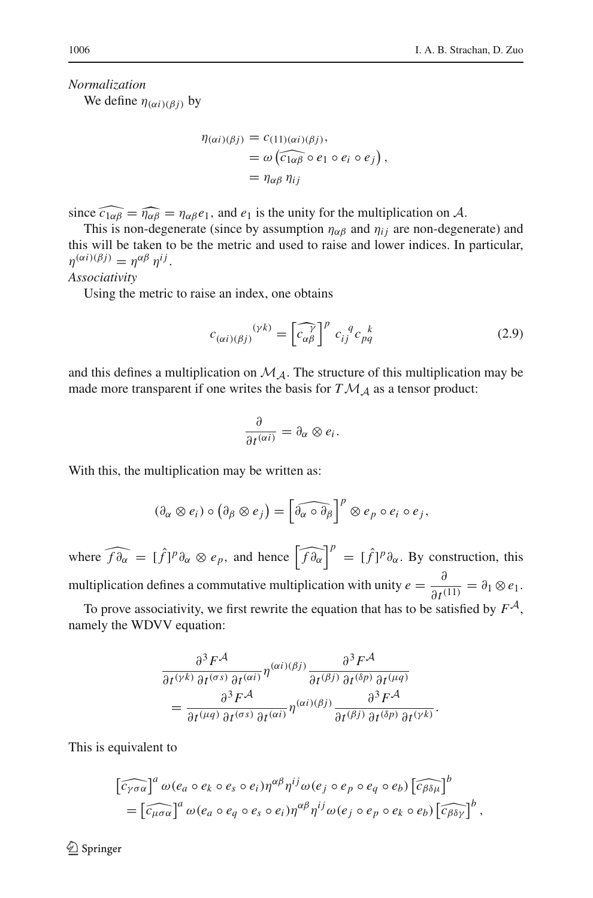*Normalization*

We define  $\eta_{(\alpha i)(\beta j)}$  by

$$
\eta(\alpha i)(\beta j) = c_{(11)(\alpha i)(\beta j)},
$$
  
=  $\omega \left( \widehat{c_{1\alpha\beta}} \circ e_1 \circ e_i \circ e_j \right),$   
=  $\eta_{\alpha\beta} \eta_{ij}$ 

since  $\widehat{c_{1\alpha\beta}} = \widehat{\eta_{\alpha\beta}} = \eta_{\alpha\beta}e_1$ , and  $e_1$  is the unity for the multiplication on *A*.

This is non-degenerate (since by assumption  $\eta_{\alpha\beta}$  and  $\eta_{ij}$  are non-degenerate) and this will be taken to be the metric and used to raise and lower indices. In particular,  $\eta^{(\alpha i)(\beta j)} = \eta^{\alpha \beta} \eta^{ij}.$ 

#### *Associativity*

Using the metric to raise an index, one obtains

<span id="page-9-0"></span>
$$
c_{(\alpha i)(\beta j)}^{(\gamma k)} = \left[\widehat{c_{\alpha\beta}}^{\gamma}\right]^p c_{ij}^q c_{pq}^k
$$
 (2.9)

and this defines a multiplication on  $\mathcal{M}_{\mathcal{A}}$ . The structure of this multiplication may be made more transparent if one writes the basis for  $T\mathcal{M}_A$  as a tensor product:

$$
\frac{\partial}{\partial t^{(\alpha i)}} = \partial_{\alpha} \otimes e_i.
$$

With this, the multiplication may be written as:

$$
(\partial_{\alpha} \otimes e_i) \circ (\partial_{\beta} \otimes e_j) = \left[\widehat{\partial_{\alpha} \circ \partial_{\beta}}\right]^p \otimes e_p \circ e_i \circ e_j,
$$

where  $\widehat{f \partial_{\alpha}} = [\hat{f}]^p \partial_{\alpha} \otimes e_p$ , and hence  $\left[ \widehat{f \partial_{\alpha}} \right]^p = [\hat{f}]^p \partial_{\alpha}$ . By construction, this multiplication defines a commutative multiplication with unity  $e = \frac{\partial}{\partial t^{(1)}} = \partial_1 \otimes e_1$ . To prove associativity, we first rewrite the equation that has to be satisfied by  $F^{\mathcal{A}}$ ,

namely the WDVV equation:

$$
\frac{\partial^3 F^{\mathcal{A}}}{\partial t^{(\gamma k)} \partial t^{(\sigma s)} \partial t^{(\alpha i)}} \eta^{(\alpha i)(\beta j)} \frac{\partial^3 F^{\mathcal{A}}}{\partial t^{(\beta j)} \partial t^{(\delta p)} \partial t^{(\mu q)}} \n= \frac{\partial^3 F^{\mathcal{A}}}{\partial t^{(\mu q)} \partial t^{(\sigma s)} \partial t^{(\alpha i)}} \eta^{(\alpha i)(\beta j)} \frac{\partial^3 F^{\mathcal{A}}}{\partial t^{(\beta j)} \partial t^{(\delta p)} \partial t^{(\gamma k)}}.
$$

This is equivalent to

$$
\begin{aligned} \left[\widehat{c_{\gamma\sigma\alpha}}\right]^a \omega(e_a \circ e_k \circ e_s \circ e_i) \eta^{\alpha\beta} \eta^{ij} \omega(e_j \circ e_p \circ e_q \circ e_b) \left[\widehat{c_{\beta\delta\mu}}\right]^b \\ &= \left[\widehat{c_{\mu\sigma\alpha}}\right]^a \omega(e_a \circ e_q \circ e_s \circ e_i) \eta^{\alpha\beta} \eta^{ij} \omega(e_j \circ e_p \circ e_k \circ e_b) \left[\widehat{c_{\beta\delta\gamma}}\right]^b \,, \end{aligned}
$$

<sup>2</sup> Springer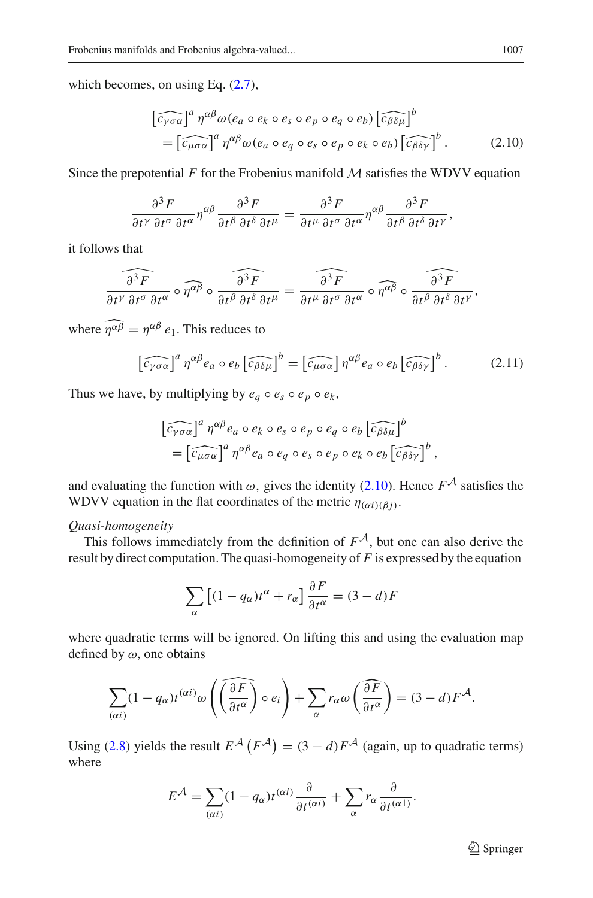which becomes, on using Eq.  $(2.7)$ ,

<span id="page-10-0"></span>
$$
\begin{aligned} \left[\widehat{c_{\gamma\sigma\alpha}}\right]^a \eta^{\alpha\beta}\omega(e_a \circ e_k \circ e_s \circ e_p \circ e_q \circ e_b) \left[\widehat{c_{\beta\delta\mu}}\right]^b \\ &= \left[\widehat{c_{\mu\sigma\alpha}}\right]^a \eta^{\alpha\beta}\omega(e_a \circ e_q \circ e_s \circ e_p \circ e_k \circ e_b) \left[\widehat{c_{\beta\delta\gamma}}\right]^b. \end{aligned} \tag{2.10}
$$

Since the prepotential F for the Frobenius manifold  $M$  satisfies the WDVV equation

$$
\frac{\partial^3 F}{\partial t^\gamma \partial t^\sigma \partial t^\alpha} \eta^{\alpha\beta} \frac{\partial^3 F}{\partial t^\beta \partial t^\delta \partial t^\mu} = \frac{\partial^3 F}{\partial t^\mu \partial t^\sigma \partial t^\alpha} \eta^{\alpha\beta} \frac{\partial^3 F}{\partial t^\beta \partial t^\delta \partial t^\gamma},
$$

it follows that

$$
\widehat{\frac{\partial^3 F}{\partial t^\gamma \partial t^\alpha \partial t^\alpha}} \circ \widehat{\eta^{\alpha\beta}} \circ \widehat{\frac{\partial^3 F}{\partial t^\beta \partial t^\delta \partial t^\mu}} = \widehat{\frac{\partial^3 F}{\partial t^\mu \partial t^\sigma \partial t^\alpha}} \circ \widehat{\eta^{\alpha\beta}} \circ \widehat{\frac{\partial^3 F}{\partial t^\beta \partial t^\delta \partial t^\gamma}},
$$

where  $\eta^{\alpha\beta} = \eta^{\alpha\beta} e_1$ . This reduces to

$$
\left[\widehat{c_{\gamma\sigma\alpha}}\right]^a \eta^{\alpha\beta} e_a \circ e_b \left[\widehat{c_{\beta\delta\mu}}\right]^b = \left[\widehat{c_{\mu\sigma\alpha}}\right] \eta^{\alpha\beta} e_a \circ e_b \left[\widehat{c_{\beta\delta\gamma}}\right]^b. \tag{2.11}
$$

Thus we have, by multiplying by  $e_q \circ e_s \circ e_p \circ e_k$ ,

$$
\begin{aligned} \left[\widehat{c_{\gamma\sigma\alpha}}\right]^a \eta^{\alpha\beta} e_a \circ e_k \circ e_s \circ e_p \circ e_q \circ e_b \left[\widehat{c_{\beta\delta\mu}}\right]^b \\ = \left[\widehat{c_{\mu\sigma\alpha}}\right]^a \eta^{\alpha\beta} e_a \circ e_q \circ e_s \circ e_p \circ e_k \circ e_b \left[\widehat{c_{\beta\delta\gamma}}\right]^b, \end{aligned}
$$

and evaluating the function with  $\omega$ , gives the identity [\(2.10\)](#page-10-0). Hence  $F^{\mathcal{A}}$  satisfies the WDVV equation in the flat coordinates of the metric  $\eta_{(\alpha i)(\beta i)}$ .

# *Quasi-homogeneity*

This follows immediately from the definition of  $F^A$ , but one can also derive the result by direct computation. The quasi-homogeneity of *F* is expressed by the equation

$$
\sum_{\alpha} \left[ (1 - q_{\alpha}) t^{\alpha} + r_{\alpha} \right] \frac{\partial F}{\partial t^{\alpha}} = (3 - d)F
$$

where quadratic terms will be ignored. On lifting this and using the evaluation map defined by  $\omega$ , one obtains

$$
\sum_{(\alpha i)} (1 - q_{\alpha}) t^{(\alpha i)} \omega \left( \widehat{\left(\frac{\partial F}{\partial t^{\alpha}}\right)} \circ e_i \right) + \sum_{\alpha} r_{\alpha} \omega \left( \frac{\partial F}{\partial t^{\alpha}} \right) = (3 - d) F^{\mathcal{A}}.
$$

Using [\(2.8\)](#page-8-1) yields the result  $E^{\mathcal{A}}(F^{\mathcal{A}}) = (3 - d)F^{\mathcal{A}}$  (again, up to quadratic terms) where

$$
E^{\mathcal{A}} = \sum_{(\alpha i)} (1 - q_{\alpha}) t^{(\alpha i)} \frac{\partial}{\partial t^{(\alpha i)}} + \sum_{\alpha} r_{\alpha} \frac{\partial}{\partial t^{(\alpha 1)}}.
$$

<sup>2</sup> Springer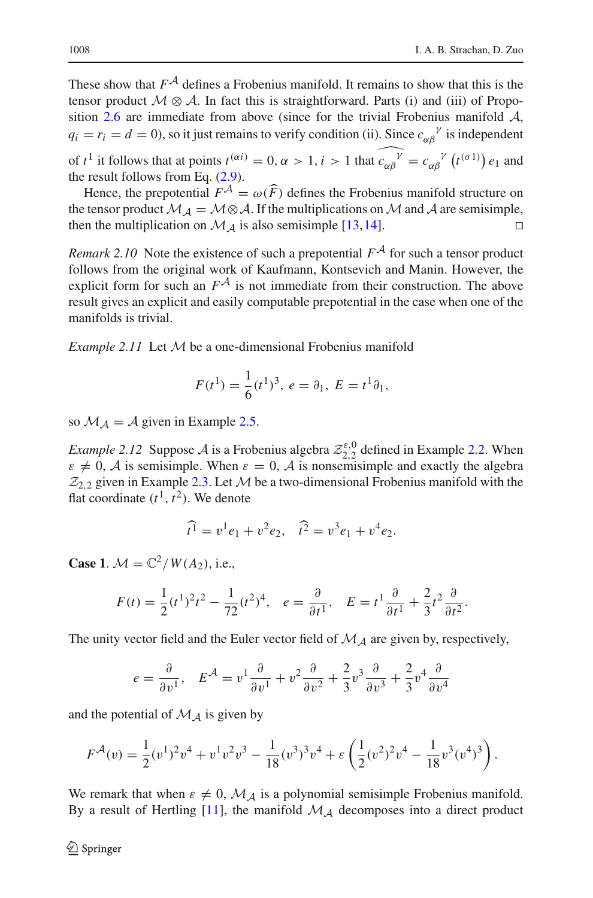These show that  $F^{\mathcal{A}}$  defines a Frobenius manifold. It remains to show that this is the tensor product  $\mathcal{M} \otimes \mathcal{A}$ . In fact this is straightforward. Parts (i) and (iii) of Proposition [2.6](#page-6-0) are immediate from above (since for the trivial Frobenius manifold *A*,  $q_i = r_i = d = 0$ ), so it just remains to verify condition (ii). Since  $c_{\alpha\beta}^{\gamma}$  is independent of  $t^1$  it follows that at points  $t^{(\alpha i)} = 0$ ,  $\alpha > 1$ ,  $i > 1$  that  $\widehat{c_{\alpha \beta}^{\gamma}} = c_{\alpha \beta}^{\gamma} (t^{(\sigma 1)}) e_1$  and

the result follows from Eq. [\(2.9\)](#page-9-0).

Hence, the prepotential  $F^{\mathcal{A}} = \omega(F)$  defines the Frobenius manifold structure on the property of  $M_{\mathcal{A}}$ . the tensor product  $M_A = M \otimes A$ . If the multiplications on *M* and *A* are semisimple, then the multiplication on *M A* is also semisimple [13, 14] then the multiplication on  $\mathcal{M}_A$  is also semisimple [\[13](#page-28-0),[14\]](#page-28-1).

*Remark* 2.10 Note the existence of such a prepotential  $F^{\mathcal{A}}$  for such a tensor product follows from the original work of Kaufmann, Kontsevich and Manin. However, the explicit form for such an  $F^{\mathcal{A}}$  is not immediate from their construction. The above result gives an explicit and easily computable prepotential in the case when one of the manifolds is trivial.

*Example 2.11* Let *M* be a one-dimensional Frobenius manifold

$$
F(t^1) = \frac{1}{6} (t^1)^3, \ e = \partial_1, \ E = t^1 \partial_1,
$$

so  $\mathcal{M}_A = \mathcal{A}$  given in Example [2.5.](#page-5-1)

*Example 2.12* Suppose *A* is a Frobenius algebra  $\mathcal{Z}_{2,2}^{\varepsilon,0}$  defined in Example [2.2.](#page-3-2) When  $\varepsilon \neq 0$ , *A* is semisimple. When  $\varepsilon = 0$ , *A* is nonsemisimple and exactly the algebra  $Z_{2,2}$  given in Example [2.3.](#page-4-0) Let  $M$  be a two-dimensional Frobenius manifold with the flat coordinate  $(t^1, t^2)$ . We denote

$$
\widehat{t}^1 = v^1 e_1 + v^2 e_2, \quad \widehat{t}^2 = v^3 e_1 + v^4 e_2.
$$

**Case 1.**  $M = \mathbb{C}^2 / W(A_2)$ , i.e.,

$$
F(t) = \frac{1}{2}(t^1)^2 t^2 - \frac{1}{72}(t^2)^4, \quad e = \frac{\partial}{\partial t^1}, \quad E = t^1 \frac{\partial}{\partial t^1} + \frac{2}{3}t^2 \frac{\partial}{\partial t^2}.
$$

The unity vector field and the Euler vector field of *M<sup>A</sup>* are given by, respectively,

$$
e = \frac{\partial}{\partial v^1}, \quad E^{\mathcal{A}} = v^1 \frac{\partial}{\partial v^1} + v^2 \frac{\partial}{\partial v^2} + \frac{2}{3} v^3 \frac{\partial}{\partial v^3} + \frac{2}{3} v^4 \frac{\partial}{\partial v^4}
$$

and the potential of  $M_A$  is given by

$$
F^{\mathcal{A}}(v) = \frac{1}{2} (v^1)^2 v^4 + v^1 v^2 v^3 - \frac{1}{18} (v^3)^3 v^4 + \varepsilon \left( \frac{1}{2} (v^2)^2 v^4 - \frac{1}{18} v^3 (v^4)^3 \right).
$$

We remark that when  $\varepsilon \neq 0$ ,  $\mathcal{M}_A$  is a polynomial semisimple Frobenius manifold. By a result of Hertling  $[11]$ , the manifold  $\mathcal{M}_{\mathcal{A}}$  decomposes into a direct product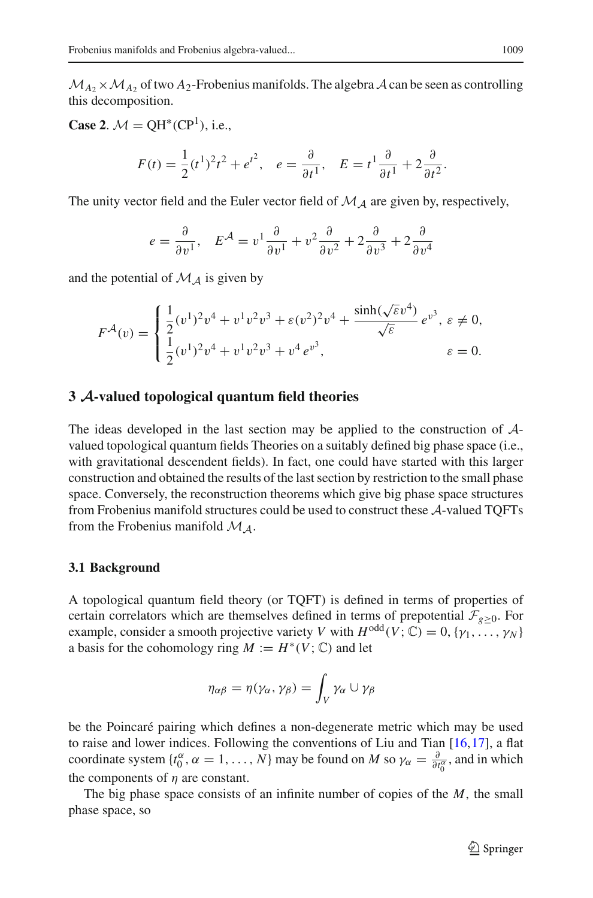$M_{A_2}$  ×  $M_{A_2}$  of two  $A_2$ -Frobenius manifolds. The algebra  $A$  can be seen as controlling this decomposition.

**Case 2.**  $M = QH^*(CP^1)$ , i.e.,

$$
F(t) = \frac{1}{2}(t^1)^2 t^2 + e^{t^2}, \quad e = \frac{\partial}{\partial t^1}, \quad E = t^1 \frac{\partial}{\partial t^1} + 2 \frac{\partial}{\partial t^2}.
$$

The unity vector field and the Euler vector field of *M<sup>A</sup>* are given by, respectively,

$$
e = \frac{\partial}{\partial v^1}, \quad E^{\mathcal{A}} = v^1 \frac{\partial}{\partial v^1} + v^2 \frac{\partial}{\partial v^2} + 2 \frac{\partial}{\partial v^3} + 2 \frac{\partial}{\partial v^4}
$$

and the potential of  $M_A$  is given by

$$
F^{\mathcal{A}}(v) = \begin{cases} \frac{1}{2} (v^{1})^{2} v^{4} + v^{1} v^{2} v^{3} + \varepsilon (v^{2})^{2} v^{4} + \frac{\sinh(\sqrt{\varepsilon} v^{4})}{\sqrt{\varepsilon}} e^{v^{3}}, \ \varepsilon \neq 0, \\ \frac{1}{2} (v^{1})^{2} v^{4} + v^{1} v^{2} v^{3} + v^{4} e^{v^{3}}, \end{cases} \qquad \varepsilon = 0.
$$

# <span id="page-12-0"></span>**3** *A***-valued topological quantum field theories**

The ideas developed in the last section may be applied to the construction of *A*valued topological quantum fields Theories on a suitably defined big phase space (i.e., with gravitational descendent fields). In fact, one could have started with this larger construction and obtained the results of the last section by restriction to the small phase space. Conversely, the reconstruction theorems which give big phase space structures from Frobenius manifold structures could be used to construct these *A*-valued TQFTs from the Frobenius manifold *MA*.

#### <span id="page-12-1"></span>**3.1 Background**

A topological quantum field theory (or TQFT) is defined in terms of properties of certain correlators which are themselves defined in terms of prepotential  $\mathcal{F}_{g\geq 0}$ . For example, consider a smooth projective variety *V* with  $H^{odd}(V; \mathbb{C}) = 0, \{\gamma_1, \ldots, \gamma_N\}$ a basis for the cohomology ring  $M := H^*(V; \mathbb{C})$  and let

$$
\eta_{\alpha\beta} = \eta(\gamma_{\alpha}, \gamma_{\beta}) = \int_{V} \gamma_{\alpha} \cup \gamma_{\beta}
$$

be the Poincaré pairing which defines a non-degenerate metric which may be used to raise and lower indices. Following the conventions of Liu and Tian [\[16](#page-28-9),[17\]](#page-28-10), a flat coordinate system  $\{t_0^{\alpha}, \alpha = 1, ..., N\}$  may be found on *M* so  $\gamma_{\alpha} = \frac{\partial}{\partial t_0^{\alpha}}$ , and in which the components of  $\eta$  are constant.

The big phase space consists of an infinite number of copies of the *M*, the small phase space, so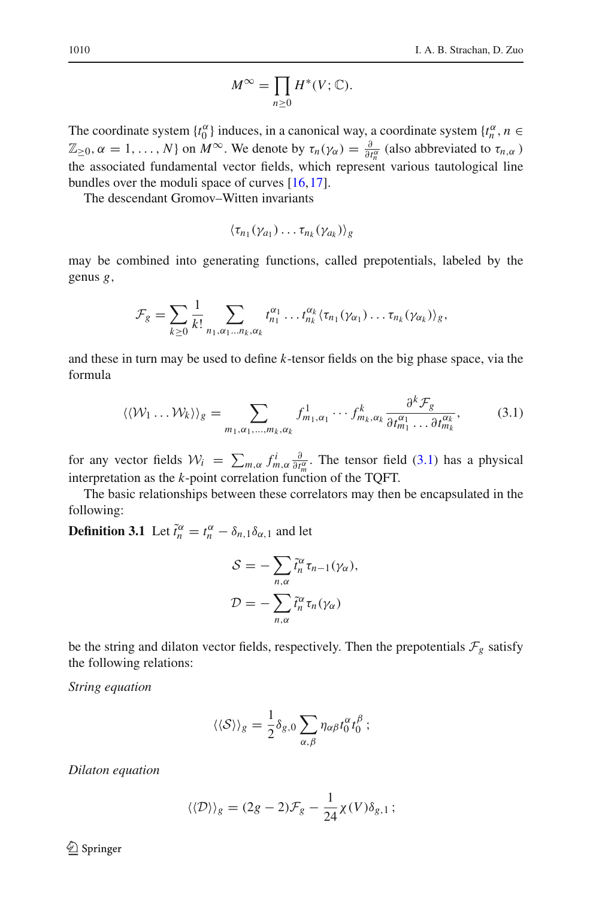$$
M^{\infty} = \prod_{n \geq 0} H^*(V; \mathbb{C}).
$$

The coordinate system  $\{t_0^{\alpha}\}\$  induces, in a canonical way, a coordinate system  $\{t_n^{\alpha}, n \in \mathbb{R}\}$  $\mathbb{Z}_{\geq 0}$ ,  $\alpha = 1, \ldots, N$  on  $M^{\infty}$ . We denote by  $\tau_n(\gamma_\alpha) = \frac{\partial}{\partial t_n^\alpha}$  (also abbreviated to  $\tau_{n,\alpha}$ ) the associated fundamental vector fields, which represent various tautological line bundles over the moduli space of curves [\[16](#page-28-9),[17\]](#page-28-10).

The descendant Gromov–Witten invariants

$$
\langle \tau_{n_1}(\gamma_{a_1})\dots \tau_{n_k}(\gamma_{a_k})\rangle_g
$$

may be combined into generating functions, called prepotentials, labeled by the genus *g*,

$$
\mathcal{F}_g = \sum_{k \geq 0} \frac{1}{k!} \sum_{n_1, \alpha_1 \dots n_k, \alpha_k} t_{n_1}^{\alpha_1} \dots t_{n_k}^{\alpha_k} \langle \tau_{n_1}(\gamma_{\alpha_1}) \dots \tau_{n_k}(\gamma_{\alpha_k}) \rangle_g,
$$

and these in turn may be used to define *k*-tensor fields on the big phase space, via the formula

<span id="page-13-0"></span>
$$
\langle \langle \mathcal{W}_1 \dots \mathcal{W}_k \rangle \rangle_g = \sum_{m_1, \alpha_1, \dots, m_k, \alpha_k} f^1_{m_1, \alpha_1} \cdots f^k_{m_k, \alpha_k} \frac{\partial^k \mathcal{F}_g}{\partial t_{m_1}^{\alpha_1} \dots \partial t_{m_k}^{\alpha_k}},\tag{3.1}
$$

for any vector fields  $W_i = \sum_{m,\alpha} f_{m,\alpha}^i \frac{\partial}{\partial t_m^{\alpha}}$ . The tensor field [\(3.1\)](#page-13-0) has a physical interpretation as the  $k$ -point correlation function of the TQFT.

The basic relationships between these correlators may then be encapsulated in the following:

**Definition 3.1** Let  $\tilde{t}_n^{\alpha} = t_n^{\alpha} - \delta_{n,1}\delta_{\alpha,1}$  and let

$$
S = -\sum_{n,\alpha} \tilde{t}_n^{\alpha} \tau_{n-1}(\gamma_{\alpha}),
$$
  

$$
\mathcal{D} = -\sum_{n,\alpha} \tilde{t}_n^{\alpha} \tau_n(\gamma_{\alpha})
$$

be the string and dilaton vector fields, respectively. Then the prepotentials  $\mathcal{F}_g$  satisfy the following relations:

*String equation*

$$
\langle\langle S\rangle\rangle_{g} = \frac{1}{2}\delta_{g,0}\sum_{\alpha,\beta}\eta_{\alpha\beta}t_{0}^{\alpha}t_{0}^{\beta};
$$

*Dilaton equation*

$$
\langle \langle \mathcal{D} \rangle \rangle_g = (2g - 2)\mathcal{F}_g - \frac{1}{24} \chi(V) \delta_{g,1};
$$

<sup>2</sup> Springer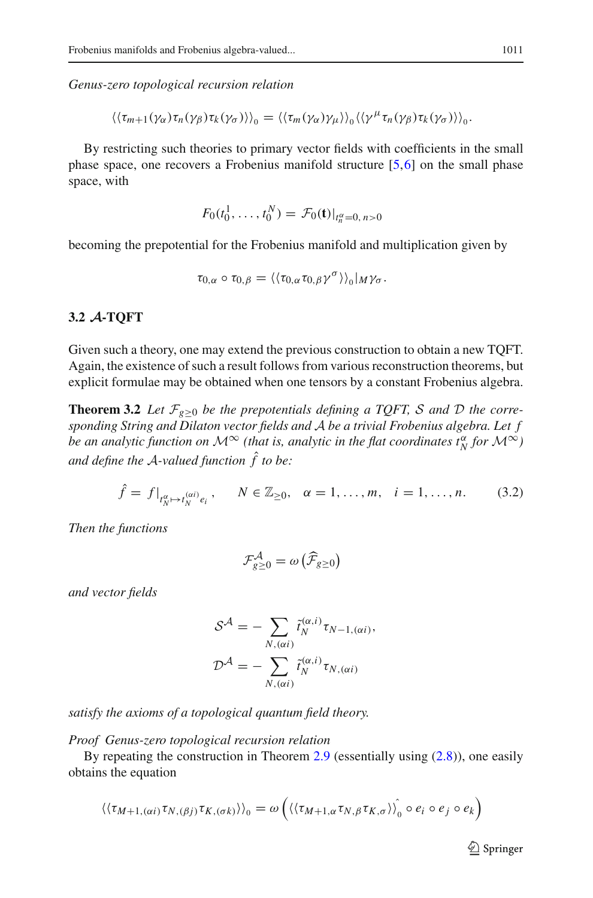*Genus-zero topological recursion relation*

 $\langle \langle \tau_{m+1}(\gamma_\alpha) \tau_n(\gamma_\beta) \tau_k(\gamma_\sigma) \rangle \rangle_0 = \langle \langle \tau_m(\gamma_\alpha) \gamma_\mu \rangle \rangle_0 \langle \langle \gamma^\mu \tau_n(\gamma_\beta) \tau_k(\gamma_\sigma) \rangle \rangle_0.$ 

By restricting such theories to primary vector fields with coefficients in the small phase space, one recovers a Frobenius manifold structure [\[5](#page-28-6),[6\]](#page-28-7) on the small phase space, with

$$
F_0(t_0^1,\ldots,t_0^N)=\mathcal{F}_0(\mathbf{t})|_{t_n^{\alpha}=0,\,n>0}
$$

becoming the prepotential for the Frobenius manifold and multiplication given by

$$
\tau_{0,\alpha}\circ\tau_{0,\beta}=\langle\langle\tau_{0,\alpha}\tau_{0,\beta}\gamma^{\sigma}\rangle\rangle_{0}|_{M}\gamma_{\sigma}.
$$

#### <span id="page-14-0"></span>**3.2** *A***-TQFT**

Given such a theory, one may extend the previous construction to obtain a new TQFT. Again, the existence of such a result follows from various reconstruction theorems, but explicit formulae may be obtained when one tensors by a constant Frobenius algebra.

<span id="page-14-1"></span>**Theorem 3.2** *Let*  $\mathcal{F}_{g\geq0}$  *be the prepotentials defining a TQFT, S and D the corresponding String and Dilaton vector fields and A be a trivial Frobenius algebra. Let f be an analytic function on*  $\mathcal{M}^{\infty}$  (that is, analytic in the flat coordinates  $t_N^{\alpha}$  for  $\mathcal{M}^{\infty}$ ) *and define the A-valued function* ˆ*f to be:*

<span id="page-14-2"></span>
$$
\hat{f} = f|_{t_N^{\alpha} \mapsto t_N^{(\alpha i)} e_i}, \qquad N \in \mathbb{Z}_{\geq 0}, \quad \alpha = 1, \dots, m, \quad i = 1, \dots, n. \tag{3.2}
$$

*Then the functions*

$$
\mathcal{F}_{g\geq 0}^{\mathcal{A}} = \omega\left(\widehat{\mathcal{F}}_{g\geq 0}\right)
$$

*and vector fields*

$$
\mathcal{S}^{\mathcal{A}} = -\sum_{N, (\alpha i)} \tilde{t}_{N}^{(\alpha, i)} \tau_{N-1, (\alpha i)},
$$

$$
\mathcal{D}^{\mathcal{A}} = -\sum_{N, (\alpha i)} \tilde{t}_{N}^{(\alpha, i)} \tau_{N, (\alpha i)}
$$

*satisfy the axioms of a topological quantum field theory.*

*Proof Genus-zero topological recursion relation*

By repeating the construction in Theorem [2.9](#page-7-1) (essentially using [\(2.8\)](#page-8-1)), one easily obtains the equation

$$
\langle\langle\tau_{M+1,(\alpha i)}\tau_{N,(\beta j)}\tau_{K,(\sigma k)}\rangle\rangle_0 = \omega\left(\langle\langle\tau_{M+1,\alpha}\tau_{N,\beta}\tau_{K,\sigma}\rangle\rangle_0^{\hat{}} \circ e_i \circ e_j \circ e_k\right)
$$

 $\mathcal{D}$  Springer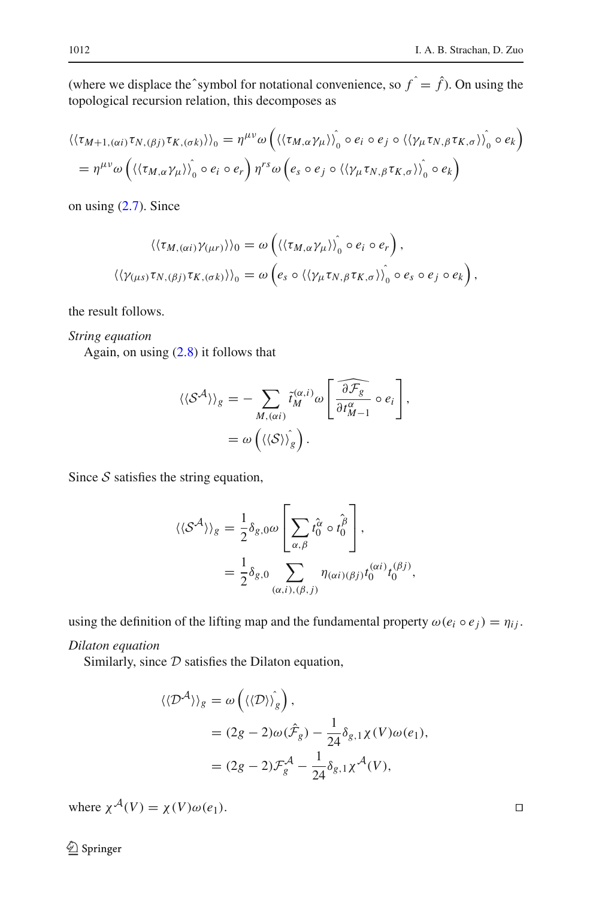(where we displace the^symbol for notational convenience, so  $f \hat{i} = \hat{f}$ ). On using the topological recursion relation, this decomposes as

$$
\langle\langle\tau_{M+1,(\alpha i)}\tau_{N,(\beta j)}\tau_{K,(\sigma k)}\rangle\rangle_{0} = \eta^{\mu\nu}\omega\left(\langle\langle\tau_{M,\alpha}\gamma_{\mu}\rangle\rangle_{0} \circ e_{i} \circ e_{j} \circ \langle\langle\gamma_{\mu}\tau_{N,\beta}\tau_{K,\sigma}\rangle\rangle_{0} \circ e_{k}\right)
$$
  
=  $\eta^{\mu\nu}\omega\left(\langle\langle\tau_{M,\alpha}\gamma_{\mu}\rangle\rangle_{0} \circ e_{i} \circ e_{r}\right) \eta^{rs}\omega\left(e_{s} \circ e_{j} \circ \langle\langle\gamma_{\mu}\tau_{N,\beta}\tau_{K,\sigma}\rangle\rangle_{0} \circ e_{k}\right)$ 

on using [\(2.7\)](#page-8-0). Since

$$
\langle \langle \tau_{M,(\alpha i)} \gamma_{(\mu r)} \rangle \rangle_0 = \omega \left( \langle \langle \tau_{M,\alpha} \gamma_{\mu} \rangle \rangle_0 \circ e_i \circ e_r \right),
$$
  

$$
\langle \langle \gamma_{(\mu s)} \tau_{N,(\beta j)} \tau_{K,(\sigma k)} \rangle \rangle_0 = \omega \left( e_s \circ \langle \langle \gamma_{\mu} \tau_{N,\beta} \tau_{K,\sigma} \rangle \rangle_0 \circ e_s \circ e_j \circ e_k \right),
$$

the result follows.

*String equation*

Again, on using  $(2.8)$  it follows that

$$
\langle \langle S^{\mathcal{A}} \rangle \rangle_{g} = - \sum_{M, (\alpha i)} \tilde{t}_{M}^{(\alpha, i)} \omega \left[ \frac{\widehat{\partial \mathcal{F}_{g}}}{\partial t_{M-1}^{\alpha}} \circ e_{i} \right],
$$
  
=  $\omega \left( \langle \langle S \rangle \rangle_{g} \right).$ 

Since *S* satisfies the string equation,

$$
\langle \langle S^{\mathcal{A}} \rangle \rangle_{g} = \frac{1}{2} \delta_{g,0} \omega \left[ \sum_{\alpha,\beta} \hat{t}_{0}^{\alpha} \circ \hat{t}_{0}^{\beta} \right],
$$
  

$$
= \frac{1}{2} \delta_{g,0} \sum_{(\alpha,i),(\beta,j)} \eta_{(\alpha i)(\beta j)} t_{0}^{(\alpha i)} t_{0}^{(\beta j)},
$$

using the definition of the lifting map and the fundamental property  $\omega(e_i \circ e_j) = \eta_{ij}$ .

*Dilaton equation*

Similarly, since  $D$  satisfies the Dilaton equation,

$$
\langle \langle \mathcal{D}^{\mathcal{A}} \rangle \rangle_{g} = \omega \left( \langle \langle \mathcal{D} \rangle \rangle_{g} \right),
$$
  
=  $(2g - 2)\omega(\hat{\mathcal{F}}_{g}) - \frac{1}{24} \delta_{g,1} \chi(V) \omega(e_{1}),$   
=  $(2g - 2)\mathcal{F}_{g}^{\mathcal{A}} - \frac{1}{24} \delta_{g,1} \chi^{\mathcal{A}}(V),$ 

where  $\chi^{\mathcal{A}}(V) = \chi(V)\omega(e_1)$ .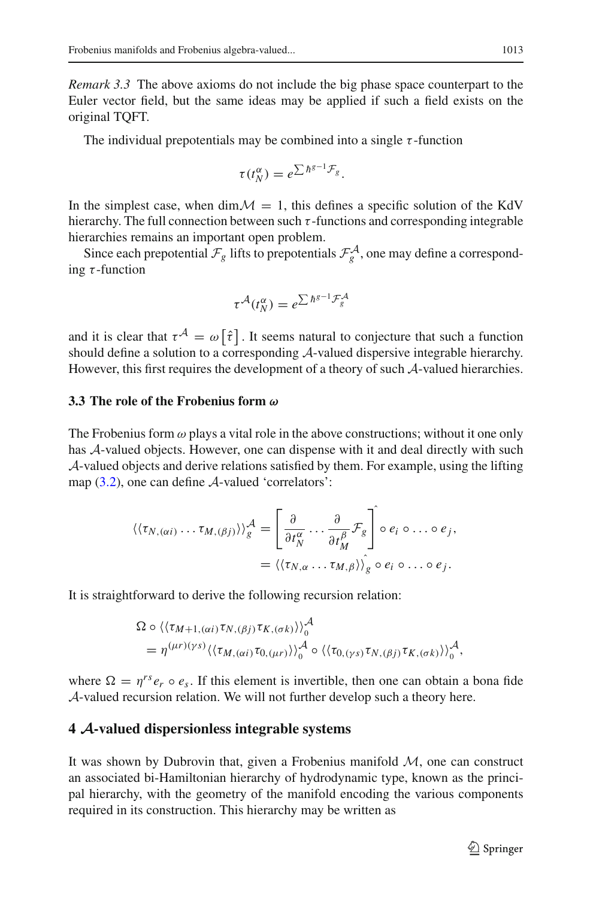*Remark 3.3* The above axioms do not include the big phase space counterpart to the Euler vector field, but the same ideas may be applied if such a field exists on the original TQFT.

The individual prepotentials may be combined into a single  $\tau$ -function

$$
\tau(t_N^{\alpha})=e^{\sum\hbar^{g-1}\mathcal{F}_g}.
$$

In the simplest case, when  $\dim M = 1$ , this defines a specific solution of the KdV hierarchy. The full connection between such  $\tau$ -functions and corresponding integrable hierarchies remains an important open problem.

Since each prepotential  $\mathcal{F}_g$  lifts to prepotentials  $\mathcal{F}_g^{\mathcal{A}}$ , one may define a corresponding  $\tau$ -function

$$
\tau^{\mathcal{A}}(t_N^{\alpha})=e^{\sum\hbar^{g-1}\mathcal{F}_g^{\mathcal{A}}}
$$

and it is clear that  $\tau^{\mathcal{A}} = \omega[\hat{\tau}]$ . It seems natural to conjecture that such a function should define a solution to a corresponding *A*-valued dispersive integrable hierarchy. However, this first requires the development of a theory of such *A*-valued hierarchies.

# <span id="page-16-0"></span>**3.3 The role of the Frobenius form** *ω*

The Frobenius form  $\omega$  plays a vital role in the above constructions; without it one only has *A*-valued objects. However, one can dispense with it and deal directly with such *A*-valued objects and derive relations satisfied by them. For example, using the lifting map [\(3.2\)](#page-14-2), one can define *A*-valued 'correlators':

$$
\langle \langle \tau_{N,(\alpha i)} \dots \tau_{M,(\beta j)} \rangle \rangle_g^{\mathcal{A}} = \left[ \frac{\partial}{\partial t_N^{\alpha}} \dots \frac{\partial}{\partial t_M^{\beta}} \mathcal{F}_g \right] \circ e_i \circ \dots \circ e_j,
$$
  

$$
= \langle \langle \tau_{N,\alpha} \dots \tau_{M,\beta} \rangle \rangle_g \circ e_i \circ \dots \circ e_j.
$$

It is straightforward to derive the following recursion relation:

$$
\Omega \circ \langle \langle \tau_{M+1,(\alpha i)} \tau_{N,(\beta j)} \tau_{K,(\sigma k)} \rangle \rangle_0^{\mathcal{A}}
$$
  
=  $\eta^{(\mu r)(\gamma s)} \langle \langle \tau_{M,(\alpha i)} \tau_{0,(\mu r)} \rangle \rangle_0^{\mathcal{A}} \circ \langle \langle \tau_{0,(\gamma s)} \tau_{N,(\beta j)} \tau_{K,(\sigma k)} \rangle \rangle_0^{\mathcal{A}},$ 

where  $\Omega = \eta^{rs} e_r \circ e_s$ . If this element is invertible, then one can obtain a bona fide *A*-valued recursion relation. We will not further develop such a theory here.

#### <span id="page-16-1"></span>**4** *A***-valued dispersionless integrable systems**

It was shown by Dubrovin that, given a Frobenius manifold *M*, one can construct an associated bi-Hamiltonian hierarchy of hydrodynamic type, known as the principal hierarchy, with the geometry of the manifold encoding the various components required in its construction. This hierarchy may be written as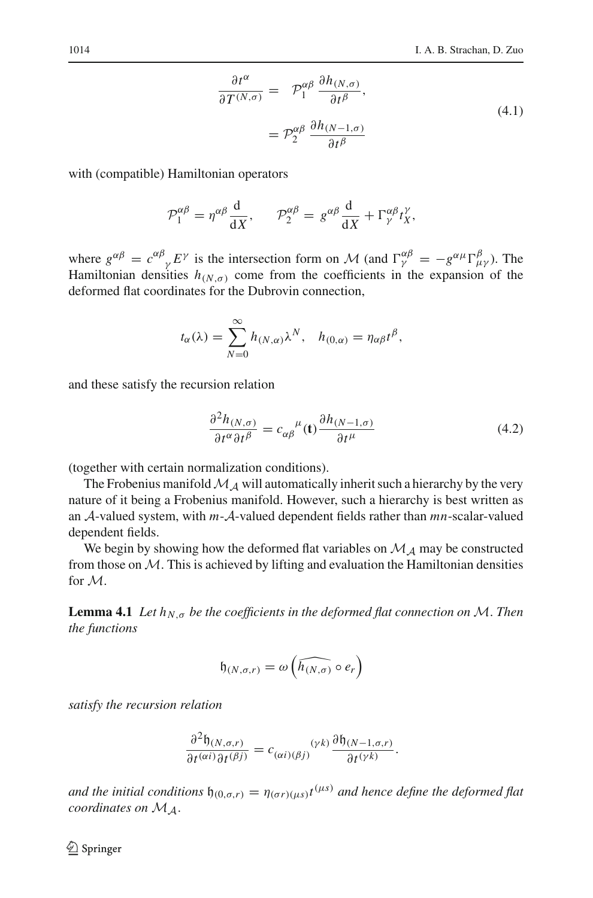$$
\frac{\partial t^{\alpha}}{\partial T^{(N,\sigma)}} = \mathcal{P}_1^{\alpha\beta} \frac{\partial h_{(N,\sigma)}}{\partial t^{\beta}},
$$
  

$$
= \mathcal{P}_2^{\alpha\beta} \frac{\partial h_{(N-1,\sigma)}}{\partial t^{\beta}}
$$
 (4.1)

with (compatible) Hamiltonian operators

$$
\mathcal{P}_1^{\alpha\beta} = \eta^{\alpha\beta} \frac{\mathrm{d}}{\mathrm{d}X}, \qquad \mathcal{P}_2^{\alpha\beta} = g^{\alpha\beta} \frac{\mathrm{d}}{\mathrm{d}X} + \Gamma^{\alpha\beta}_{\gamma} t_X^{\gamma},
$$

where  $g^{\alpha\beta} = c^{\alpha\beta}{}_{\gamma} E^{\gamma}$  is the intersection form on *M* (and  $\Gamma^{\alpha\beta}_{\gamma} = -g^{\alpha\mu} \Gamma^{\beta}_{\mu\gamma}$ ). The Hamiltonian densities  $h_{(N,\sigma)}$  come from the coefficients in the expansion of the deformed flat coordinates for the Dubrovin connection,

$$
t_{\alpha}(\lambda) = \sum_{N=0}^{\infty} h_{(N,\alpha)} \lambda^N, \quad h_{(0,\alpha)} = \eta_{\alpha\beta} t^{\beta},
$$

and these satisfy the recursion relation

$$
\frac{\partial^2 h_{(N,\sigma)}}{\partial t^\alpha \partial t^\beta} = c_{\alpha\beta}^{\ \ \mu}(\mathbf{t}) \frac{\partial h_{(N-1,\sigma)}}{\partial t^\mu}
$$
(4.2)

(together with certain normalization conditions).

The Frobenius manifold  $M_A$  will automatically inherit such a hierarchy by the very nature of it being a Frobenius manifold. However, such a hierarchy is best written as an *A*-valued system, with *m*-*A*-valued dependent fields rather than *mn*-scalar-valued dependent fields.

We begin by showing how the deformed flat variables on  $M_A$  may be constructed from those on  $M$ . This is achieved by lifting and evaluation the Hamiltonian densities for *M*.

**Lemma 4.1** *Let*  $h_{N,\sigma}$  *be the coefficients in the deformed flat connection on M*. *Then the functions*

$$
\mathfrak{h}_{(N,\sigma,r)} = \omega\left(\widehat{h_{(N,\sigma)}} \circ e_r\right)
$$

*satisfy the recursion relation*

$$
\frac{\partial^2 \mathfrak{h}_{(N,\sigma,r)}}{\partial t^{(\alpha i)} \partial t^{(\beta j)}} = c_{(\alpha i)(\beta j)}^{\qquad (\gamma k)} \frac{\partial \mathfrak{h}_{(N-1,\sigma,r)}}{\partial t^{(\gamma k)}}.
$$

*and the initial conditions*  $\mathfrak{h}_{(0,\sigma,r)} = \eta_{(\sigma r)(\mu s)} t^{(\mu s)}$  *and hence define the deformed flat coordinates on MA*.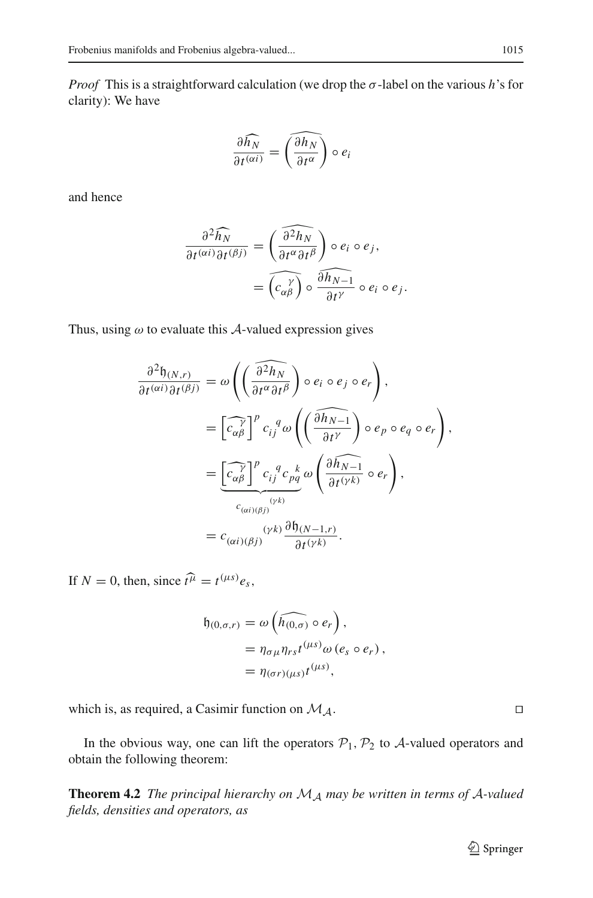*Proof* This is a straightforward calculation (we drop the σ-label on the various *h*'s for clarity): We have

$$
\frac{\partial \widehat{h_N}}{\partial t^{(\alpha i)}} = \widehat{\left(\frac{\partial h_N}{\partial t^\alpha}\right)} \circ e_i
$$

and hence

$$
\frac{\partial^2 \widehat{h_N}}{\partial t^{(\alpha i)} \partial t^{(\beta j)}} = \left( \frac{\widehat{\partial^2 h_N}}{\partial t^\alpha \partial t^\beta} \right) \circ e_i \circ e_j,
$$

$$
= \widehat{\left( c_{\alpha \beta}^{\gamma} \right)} \circ \frac{\widehat{\partial h_{N-1}}}{\partial t^{\gamma}} \circ e_i \circ e_j.
$$

Thus, using  $\omega$  to evaluate this  $\mathcal{A}$ -valued expression gives

$$
\frac{\partial^2 \mathfrak{h}_{(N,r)}}{\partial t^{(\alpha i)} \partial t^{(\beta j)}} = \omega \left( \left( \frac{\widehat{\partial^2 h_N}}{\partial t^\alpha \partial t^\beta} \right) \circ e_i \circ e_j \circ e_r \right),
$$
  

$$
= \left[ \widehat{c_{\alpha\beta}^{\gamma}} \right]^p c_{ij}^q \omega \left( \left( \frac{\widehat{\partial h_{N-1}}}{\partial t^\gamma} \right) \circ e_p \circ e_q \circ e_r \right),
$$
  

$$
= \underbrace{\left[ \widehat{c_{\alpha\beta}^{\gamma}} \right]^p c_{ij}^q c_{pq}^q \omega \left( \frac{\partial \widehat{h_{N-1}}}{\partial t^{(\gamma k)}} \circ e_r \right),
$$
  

$$
= c_{(\alpha i)(\beta j)}^{\quad (\gamma k)} \frac{\partial \mathfrak{h}_{(N-1,r)}}{\partial t^{(\gamma k)}}.
$$

If  $N = 0$ , then, since  $\hat{t}^{\hat{\mu}} = t^{(\mu s)} e_s$ ,

$$
\mathfrak{h}_{(0,\sigma,r)} = \omega\left(\widehat{h_{(0,\sigma)}} \circ e_r\right),
$$
  
=  $\eta_{\sigma\mu}\eta_{rs}t^{(\mu s)}\omega\left(e_s \circ e_r\right),$   
=  $\eta_{(\sigma r)(\mu s)}t^{(\mu s)},$ 

which is, as required, a Casimir function on *MA*.

<span id="page-18-0"></span>In the obvious way, one can lift the operators  $P_1$ ,  $P_2$  to  $A$ -valued operators and obtain the following theorem:

**Theorem 4.2** *The principal hierarchy on M<sup>A</sup> may be written in terms of A-valued fields, densities and operators, as*

$$
\qquad \qquad \Box
$$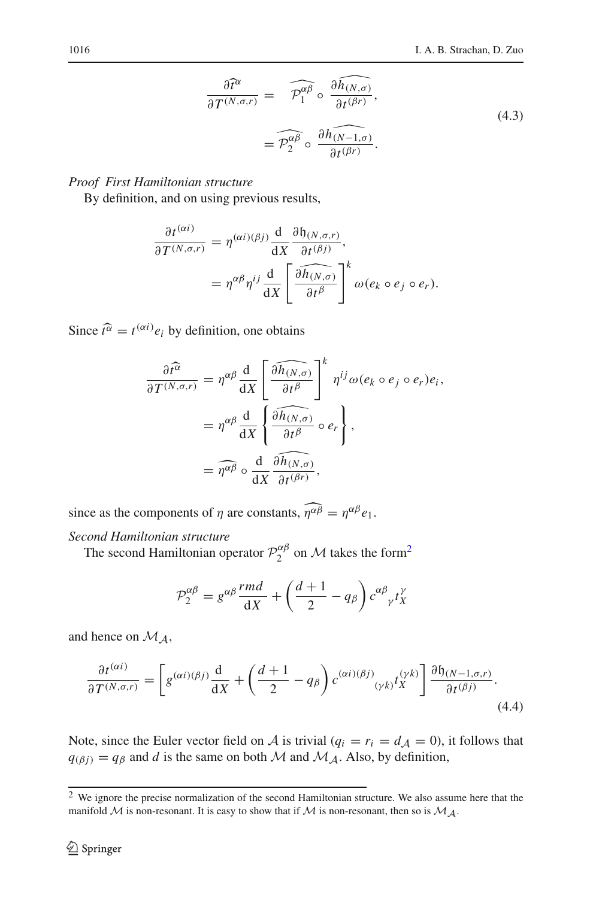$$
\frac{\partial \widehat{t}^{\alpha}}{\partial T^{(N,\sigma,r)}} = \widehat{\mathcal{P}_1^{\alpha\beta}} \circ \frac{\partial \widehat{h_{(N,\sigma)}}}{\partial t^{(\beta r)}},
$$
\n
$$
= \widehat{\mathcal{P}_2^{\alpha\beta}} \circ \frac{\partial \widehat{h_{(N-1,\sigma)}}}{\partial t^{(\beta r)}}.
$$
\n(4.3)

# *Proof First Hamiltonian structure*

By definition, and on using previous results,

$$
\frac{\partial t^{(\alpha i)}}{\partial T^{(N,\sigma,r)}} = \eta^{(\alpha i)(\beta j)} \frac{d}{dX} \frac{\partial \mathfrak{h}_{(N,\sigma,r)}}{\partial t^{(\beta j)}},
$$

$$
= \eta^{\alpha \beta} \eta^{ij} \frac{d}{dX} \left[ \frac{\partial \widehat{h_{(N,\sigma)}}}{\partial t^{\beta}} \right]^k \omega(e_k \circ e_j \circ e_r).
$$

Since  $\hat{t}^{\alpha} = t^{(\alpha i)} e_i$  by definition, one obtains

$$
\frac{\partial \widehat{t^{\alpha}}}{\partial T^{(N,\sigma,r)}} = \eta^{\alpha\beta} \frac{d}{dX} \left[ \frac{\widehat{\partial h_{(N,\sigma)}}}{\partial t^{\beta}} \right]^k \eta^{ij} \omega(e_k \circ e_j \circ e_r) e_i,
$$

$$
= \eta^{\alpha\beta} \frac{d}{dX} \left\{ \frac{\widehat{\partial h_{(N,\sigma)}}}{\partial t^{\beta}} \circ e_r \right\},
$$

$$
= \widehat{\eta^{\alpha\beta}} \circ \frac{d}{dX} \frac{\widehat{\partial h_{(N,\sigma)}}}{\partial t^{(\beta r)}},
$$

since as the components of  $\eta$  are constants,  $\eta^{\alpha\beta} = \eta^{\alpha\beta} e_1$ .

# *Second Hamiltonian structure*

The second Hamiltonian operator  $\mathcal{P}_2^{\alpha\beta}$  on  $\mathcal M$  takes the form<sup>2</sup>

$$
\mathcal{P}_2^{\alpha\beta} = g^{\alpha\beta} \frac{rm d}{dX} + \left(\frac{d+1}{2} - q_{\beta}\right) c^{\alpha\beta}{}_{\gamma} t_X^{\gamma}
$$

and hence on *MA*,

<span id="page-19-1"></span>
$$
\frac{\partial t^{(\alpha i)}}{\partial T^{(N,\sigma,r)}} = \left[ g^{(\alpha i)(\beta j)} \frac{d}{dX} + \left( \frac{d+1}{2} - q_{\beta} \right) c^{(\alpha i)(\beta j)}_{(\gamma k)} t_X^{(\gamma k)} \right] \frac{\partial \mathfrak{h}_{(N-1,\sigma,r)}}{\partial t^{(\beta j)}}.
$$
\n(4.4)

Note, since the Euler vector field on *A* is trivial ( $q_i = r_i = d_A = 0$ ), it follows that  $q(\beta j) = q\beta$  and *d* is the same on both *M* and *M<sub>A</sub>*. Also, by definition,

<span id="page-19-0"></span><sup>&</sup>lt;sup>2</sup> We ignore the precise normalization of the second Hamiltonian structure. We also assume here that the manifold  $M$  is non-resonant. It is easy to show that if  $M$  is non-resonant, then so is  $M_A$ .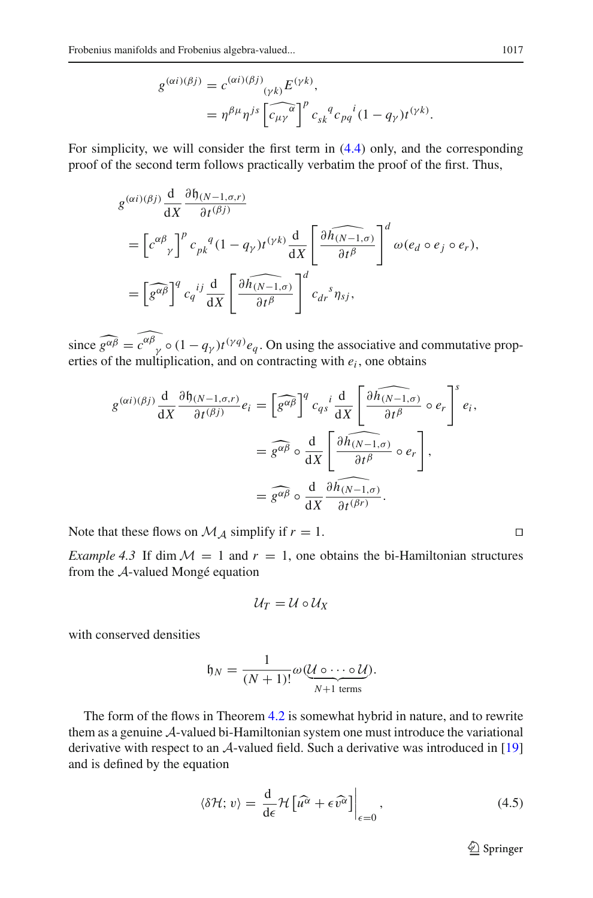$$
g^{(\alpha i)(\beta j)} = c^{(\alpha i)(\beta j)} \left( \gamma_k \right) E^{(\gamma k)},
$$
  
= 
$$
\eta^{\beta \mu} \eta^{j s} \left[ \widehat{c_{\mu \gamma}}^{\alpha} \right]^p c_{s k}^q c_{p q}^i (1 - q_{\gamma}) t^{(\gamma k)}.
$$

For simplicity, we will consider the first term in [\(4.4\)](#page-19-1) only, and the corresponding proof of the second term follows practically verbatim the proof of the first. Thus,

$$
g^{(\alpha i)(\beta j)} \frac{d}{dX} \frac{\partial \mathfrak{h}_{(N-1,\sigma,r)}}{\partial t^{(\beta j)}} = \left[ c^{\alpha \beta} \right]^p c_{pk}^q (1 - q_\gamma) t^{(\gamma k)} \frac{d}{dX} \left[ \frac{\partial \widehat{h_{(N-1,\sigma)}}}{\partial t^\beta} \right]^d \omega(e_d \circ e_j \circ e_r), = \left[ \widehat{g^{\alpha \beta}} \right]^q c_q^{\ ij} \frac{d}{dX} \left[ \frac{\partial \widehat{h_{(N-1,\sigma)}}}{\partial t^\beta} \right]^d c_{dr}^{\ s} \eta_{sj},
$$

since  $\widehat{g^{\alpha\beta}} = \widehat{c^{\alpha\beta}}_y \circ (1 - q_\gamma)t^{(\gamma q)}e_q$ . On using the associative and commutative properties of the multiplication, and on contracting with  $e_i$ , one obtains

$$
g^{(\alpha i)(\beta j)} \frac{d}{dX} \frac{\partial \mathfrak{h}_{(N-1,\sigma,r)}}{\partial t^{(\beta j)}} e_i = \left[ \widehat{g^{\alpha \beta}} \right]^q c_{qs}^i \frac{d}{dX} \left[ \frac{\partial \widehat{h_{(N-1,\sigma)}}}{\partial t^\beta} \circ e_r \right]^s e_i,
$$
  

$$
= \widehat{g^{\alpha \beta}} \circ \frac{d}{dX} \left[ \frac{\partial \widehat{h_{(N-1,\sigma)}}}{\partial t^\beta} \circ e_r \right],
$$
  

$$
= \widehat{g^{\alpha \beta}} \circ \frac{d}{dX} \frac{\partial \widehat{h_{(N-1,\sigma)}}}{\partial t^{(\beta r)}}.
$$

Note that these flows on  $\mathcal{M}_A$  simplify if  $r = 1$ .

*Example 4.3* If dim  $\mathcal{M} = 1$  and  $r = 1$ , one obtains the bi-Hamiltonian structures from the *A*-valued Mongé equation

$$
\mathcal{U}_T=\mathcal{U}\circ\mathcal{U}_X
$$

with conserved densities

$$
\mathfrak{h}_N = \frac{1}{(N+1)!} \omega(\underbrace{\mathcal{U} \circ \cdots \circ \mathcal{U}}_{N+1 \text{ terms}}).
$$

The form of the flows in Theorem [4.2](#page-18-0) is somewhat hybrid in nature, and to rewrite them as a genuine *A*-valued bi-Hamiltonian system one must introduce the variational derivative with respect to an *A*-valued field. Such a derivative was introduced in [\[19\]](#page-29-2) and is defined by the equation

<span id="page-20-0"></span>
$$
\langle \delta \mathcal{H}; v \rangle = \left. \frac{\mathrm{d}}{\mathrm{d}\epsilon} \mathcal{H} \left[ \widehat{u^{\alpha}} + \epsilon \widehat{v^{\alpha}} \right] \right|_{\epsilon=0}, \tag{4.5}
$$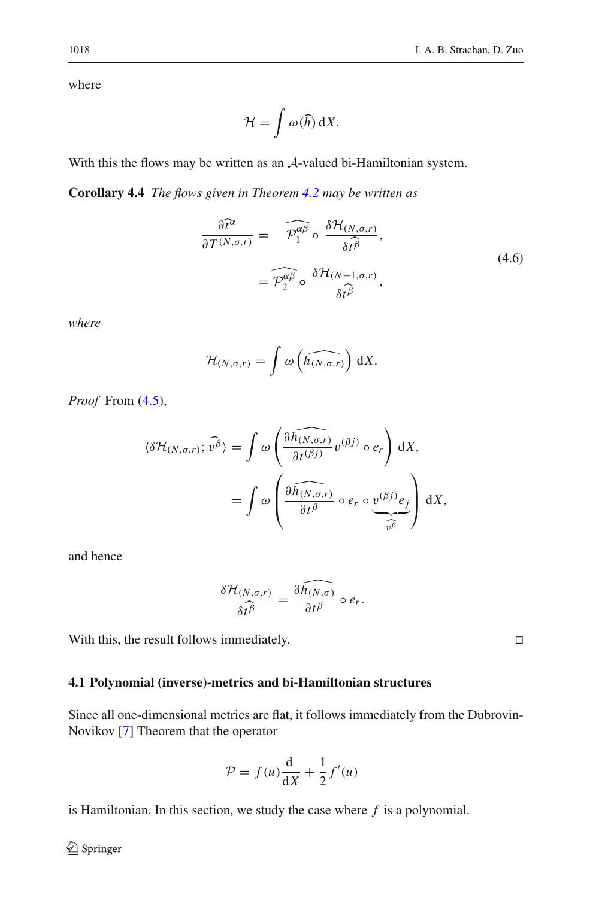where

$$
\mathcal{H} = \int \omega(\widehat{h}) \, \mathrm{d}X.
$$

With this the flows may be written as an *A*-valued bi-Hamiltonian system.

**Corollary 4.4** *The flows given in Theorem [4.2](#page-18-0) may be written as*

$$
\frac{\partial \hat{t}^{\alpha}}{\partial T^{(N,\sigma,r)}} = \widehat{\mathcal{P}_1^{\alpha\beta}} \circ \frac{\delta \mathcal{H}_{(N,\sigma,r)}}{\delta t^{\beta}},
$$
\n
$$
= \widehat{\mathcal{P}_2^{\alpha\beta}} \circ \frac{\delta \mathcal{H}_{(N-1,\sigma,r)}}{\delta t^{\beta}},
$$
\n(4.6)

*where*

$$
\mathcal{H}_{(N,\sigma,r)} = \int \omega \left( \widehat{h_{(N,\sigma,r)}} \right) \, \mathrm{d}X.
$$

*Proof* From [\(4.5\)](#page-20-0),

$$
\langle \delta \mathcal{H}_{(N,\sigma,r)}; \widehat{v^{\beta}} \rangle = \int \omega \left( \frac{\partial \widehat{h_{(N,\sigma,r)}}}{\partial t^{(\beta j)}} v^{(\beta j)} \circ e_r \right) dX,
$$

$$
= \int \omega \left( \frac{\partial \widehat{h_{(N,\sigma,r)}}}{\partial t^{\beta}} \circ e_r \circ \underbrace{v^{(\beta j)} e_j}_{\widehat{v^{\beta}}} \right) dX,
$$

and hence

$$
\frac{\delta \mathcal{H}_{(N,\sigma,r)}}{\delta t^{\beta}} = \frac{\widehat{\partial h_{(N,\sigma)}}}{\partial t^{\beta}} \circ e_r.
$$

With this, the result follows immediately.

# <span id="page-21-0"></span>**4.1 Polynomial (inverse)-metrics and bi-Hamiltonian structures**

Since all one-dimensional metrics are flat, it follows immediately from the Dubrovin-Novikov [\[7](#page-28-11)] Theorem that the operator

$$
\mathcal{P} = f(u)\frac{\mathrm{d}}{\mathrm{d}X} + \frac{1}{2}f'(u)
$$

is Hamiltonian. In this section, we study the case where *f* is a polynomial.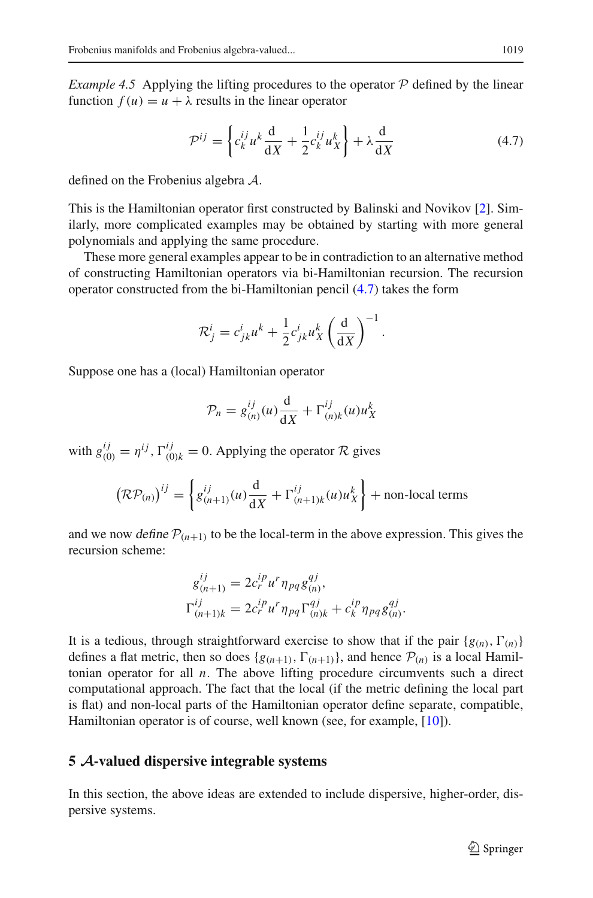*Example 4.5* Applying the lifting procedures to the operator  $P$  defined by the linear function  $f(u) = u + \lambda$  results in the linear operator

<span id="page-22-1"></span>
$$
\mathcal{P}^{ij} = \left\{ c_k^{ij} u^k \frac{d}{dX} + \frac{1}{2} c_k^{ij} u_X^k \right\} + \lambda \frac{d}{dX} \tag{4.7}
$$

defined on the Frobenius algebra *A*.

This is the Hamiltonian operator first constructed by Balinski and Novikov [\[2](#page-28-12)]. Similarly, more complicated examples may be obtained by starting with more general polynomials and applying the same procedure.

These more general examples appear to be in contradiction to an alternative method of constructing Hamiltonian operators via bi-Hamiltonian recursion. The recursion operator constructed from the bi-Hamiltonian pencil [\(4.7\)](#page-22-1) takes the form

$$
\mathcal{R}^i_j = c^i_{jk} u^k + \frac{1}{2} c^i_{jk} u^k_X \left(\frac{d}{dX}\right)^{-1}.
$$

Suppose one has a (local) Hamiltonian operator

$$
\mathcal{P}_n = g_{(n)}^{ij}(u)\frac{\mathrm{d}}{\mathrm{d}X} + \Gamma_{(n)k}^{ij}(u)u_X^k
$$

with  $g_{(0)}^{ij} = \eta^{ij}$ ,  $\Gamma_{(0)k}^{ij} = 0$ . Applying the operator  $\mathcal{R}$  gives

$$
\left(\mathcal{RP}_{(n)}\right)^{ij} = \left\{ g_{(n+1)}^{ij}(u) \frac{d}{dX} + \Gamma_{(n+1)k}^{ij}(u)u_X^k \right\} + \text{non-local terms}
$$

and we now define  $P(n+1)$  to be the local-term in the above expression. This gives the recursion scheme:

$$
g_{(n+1)}^{ij} = 2c_r^{ip} u^r \eta_{pq} g_{(n)}^{qj},
$$
  
\n
$$
\Gamma_{(n+1)k}^{ij} = 2c_r^{ip} u^r \eta_{pq} \Gamma_{(n)k}^{qj} + c_k^{ip} \eta_{pq} g_{(n)}^{qj}.
$$

It is a tedious, through straightforward exercise to show that if the pair  $\{g(n), \Gamma(n)\}$ defines a flat metric, then so does  $\{g(n+1), \Gamma(n+1)\}\$ , and hence  $\mathcal{P}(n)$  is a local Hamiltonian operator for all *n*. The above lifting procedure circumvents such a direct computational approach. The fact that the local (if the metric defining the local part is flat) and non-local parts of the Hamiltonian operator define separate, compatible, Hamiltonian operator is of course, well known (see, for example, [\[10\]](#page-28-13)).

# <span id="page-22-0"></span>**5** *A***-valued dispersive integrable systems**

In this section, the above ideas are extended to include dispersive, higher-order, dispersive systems.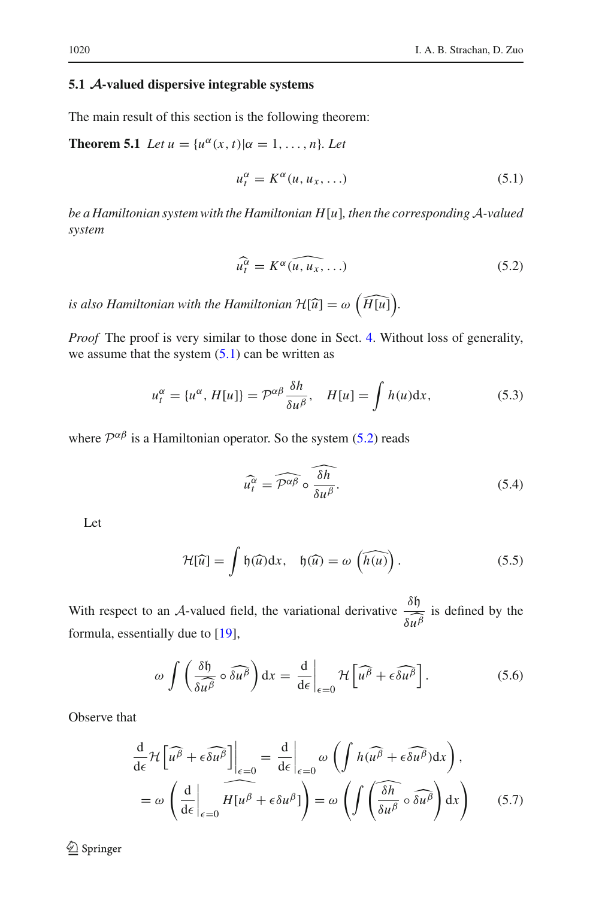# <span id="page-23-0"></span>**5.1** *A***-valued dispersive integrable systems**

The main result of this section is the following theorem:

**Theorem 5.1** *Let*  $u = {u^{\alpha}(x, t) | \alpha = 1, ..., n}$ *. Let* 

<span id="page-23-1"></span>
$$
u_t^{\alpha} = K^{\alpha}(u, u_x, \ldots) \tag{5.1}
$$

*be a Hamiltonian system with the Hamiltonian H*[*u*]*, then the corresponding A-valued system*

<span id="page-23-2"></span>
$$
\widehat{u_t^{\alpha}} = K^{\alpha}(\widehat{u, u_x, \ldots})
$$
\n(5.2)

*is also Hamiltonian with the Hamiltonian*  $\mathcal{H}[\widehat{u}] = \omega \left( \widehat{H[u]} \right)$ .

*Proof* The proof is very similar to those done in Sect. [4.](#page-16-1) Without loss of generality, we assume that the system  $(5.1)$  can be written as

$$
u_t^{\alpha} = \{u^{\alpha}, H[u]\} = \mathcal{P}^{\alpha\beta} \frac{\delta h}{\delta u^{\beta}}, \quad H[u] = \int h(u) \mathrm{d}x,\tag{5.3}
$$

where  $\mathcal{P}^{\alpha\beta}$  is a Hamiltonian operator. So the system [\(5.2\)](#page-23-2) reads

<span id="page-23-3"></span>
$$
\widehat{u_t^{\alpha}} = \widehat{\mathcal{P}^{\alpha\beta}} \circ \widehat{\frac{\delta h}{\delta u^{\beta}}}.
$$
\n(5.4)

Let

$$
\mathcal{H}[\widehat{u}] = \int \mathfrak{h}(\widehat{u}) dx, \quad \mathfrak{h}(\widehat{u}) = \omega \left(\widehat{h(u)}\right). \tag{5.5}
$$

With respect to an *A*-valued field, the variational derivative  $\frac{\delta \mathfrak{h}}{\delta u}$  $\frac{\partial}{\partial u}$  is defined by the formula, essentially due to [\[19](#page-29-2)],

$$
\omega \int \left( \frac{\delta \mathfrak{h}}{\delta u^{\beta}} \circ \widehat{\delta u^{\beta}} \right) dx = \frac{d}{d\epsilon} \bigg|_{\epsilon=0} \mathcal{H} \left[ \widehat{u^{\beta}} + \epsilon \widehat{\delta u^{\beta}} \right]. \tag{5.6}
$$

Observe that

$$
\frac{d}{d\epsilon} \mathcal{H} \left[ \widehat{u^{\beta}} + \epsilon \widehat{\delta u^{\beta}} \right] \Big|_{\epsilon=0} = \frac{d}{d\epsilon} \Big|_{\epsilon=0} \omega \left( \int h(\widehat{u^{\beta}} + \epsilon \widehat{\delta u^{\beta}}) dx \right),
$$

$$
= \omega \left( \frac{d}{d\epsilon} \Big|_{\epsilon=0} H[u^{\beta} + \epsilon \delta u^{\beta}] \right) = \omega \left( \int \left( \overline{\frac{\delta h}{\delta u^{\beta}}} \circ \widehat{\delta u^{\beta}} \right) dx \right) \tag{5.7}
$$

<sup>2</sup> Springer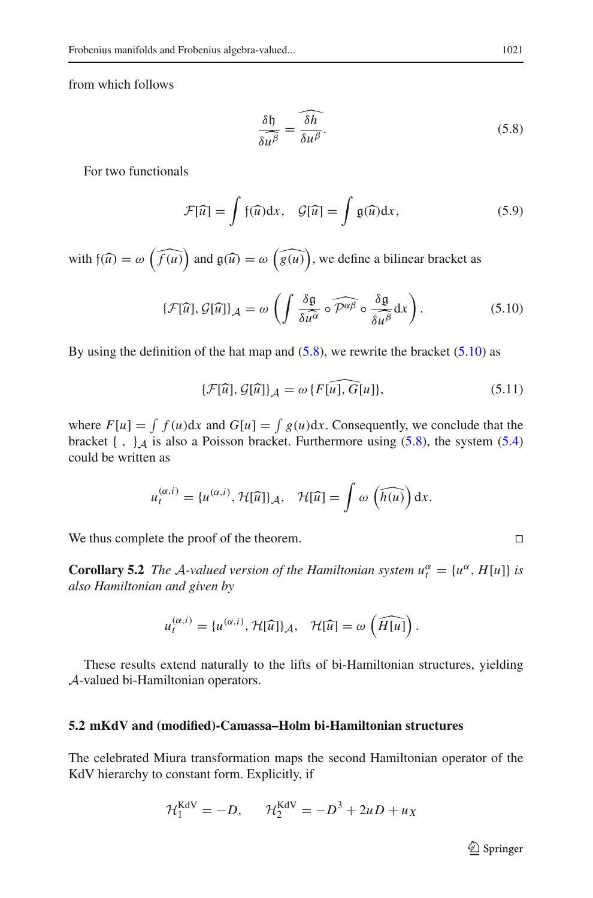from which follows

<span id="page-24-1"></span>
$$
\frac{\delta \mathfrak{h}}{\delta u^{\beta}} = \widehat{\frac{\delta h}{\delta u^{\beta}}}.
$$
\n(5.8)

For two functionals

$$
\mathcal{F}[\widehat{u}] = \int f(\widehat{u}) dx, \quad \mathcal{G}[\widehat{u}] = \int \mathfrak{g}(\widehat{u}) dx,
$$
 (5.9)

with  $f(\widehat{u}) = \omega \left( \widehat{f(u)} \right)$  and  $g(\widehat{u}) = \omega \left( \widehat{g(u)} \right)$ , we define a bilinear bracket as

<span id="page-24-2"></span>
$$
\{\mathcal{F}[\widehat{u}], \mathcal{G}[\widehat{u}]\}_\mathcal{A} = \omega \left( \int \frac{\delta \mathfrak{g}}{\delta \widehat{u^\alpha}} \circ \widehat{\mathcal{P}^{\alpha\beta}} \circ \frac{\delta \mathfrak{g}}{\delta u^\beta} dx \right). \tag{5.10}
$$

By using the definition of the hat map and  $(5.8)$ , we rewrite the bracket  $(5.10)$  as

$$
\{\mathcal{F}[\widehat{u}], \mathcal{G}[\widehat{u}]\}_\mathcal{A} = \omega \{F[\widehat{u}], \widehat{G}[u]\},\tag{5.11}
$$

where  $F[u] = \int f(u)dx$  and  $G[u] = \int g(u)dx$ . Consequently, we conclude that the bracket  $\{\ ,\ \}$ *A* is also a Poisson bracket. Furthermore using  $(5.8)$ , the system  $(5.4)$ could be written as

$$
u_t^{(\alpha,i)} = \{u^{(\alpha,i)}, \mathcal{H}[\widehat{u}]\}_\mathcal{A}, \quad \mathcal{H}[\widehat{u}] = \int \omega \left(\widehat{h(u)}\right) dx.
$$

We thus complete the proof of the theorem.

**Corollary 5.2** *The A-valued version of the Hamiltonian system*  $u_t^{\alpha} = \{u^{\alpha}, H[u]\}$  *is also Hamiltonian and given by*

$$
u_t^{(\alpha,i)} = \{u^{(\alpha,i)}, \mathcal{H}[\widehat{u}]\}_\mathcal{A}, \quad \mathcal{H}[\widehat{u}] = \omega\left(\widehat{H[u]}\right).
$$

These results extend naturally to the lifts of bi-Hamiltonian structures, yielding *A*-valued bi-Hamiltonian operators.

#### <span id="page-24-0"></span>**5.2 mKdV and (modified)-Camassa–Holm bi-Hamiltonian structures**

The celebrated Miura transformation maps the second Hamiltonian operator of the KdV hierarchy to constant form. Explicitly, if

$$
\mathcal{H}_1^{\text{KdV}} = -D, \qquad \mathcal{H}_2^{\text{KdV}} = -D^3 + 2uD + u_X
$$

<sup>2</sup> Springer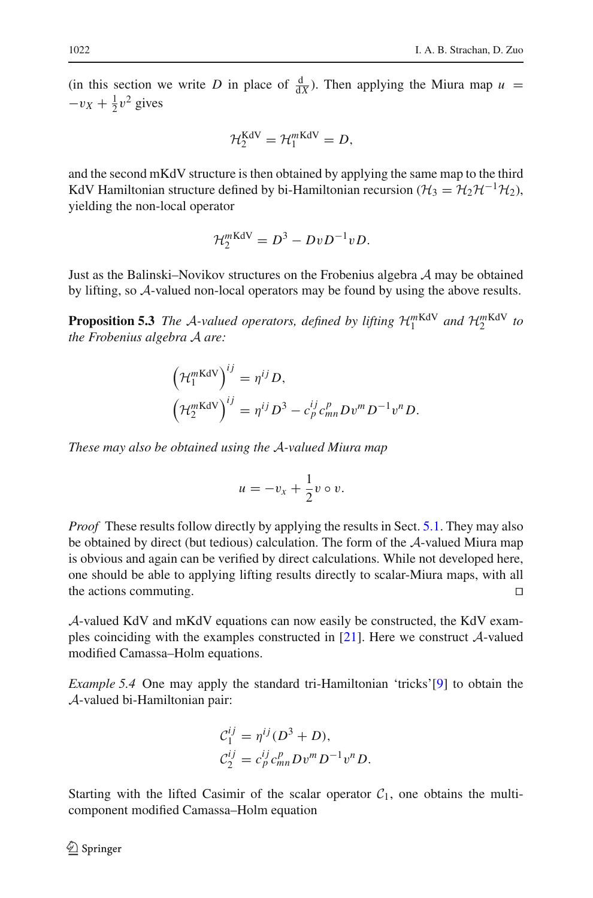(in this section we write *D* in place of  $\frac{d}{dx}$ ). Then applying the Miura map  $u =$  $-v_X + \frac{1}{2}v^2$  gives

$$
\mathcal{H}_2^{\text{KdV}} = \mathcal{H}_1^{\text{mKdV}} = D,
$$

and the second mKdV structure is then obtained by applying the same map to the third KdV Hamiltonian structure defined by bi-Hamiltonian recursion ( $H_3 = H_2 H^{-1}H_2$ ), yielding the non-local operator

$$
\mathcal{H}_2^{m\text{KdV}} = D^3 - DvD^{-1}vD.
$$

Just as the Balinski–Novikov structures on the Frobenius algebra *A* may be obtained by lifting, so *A*-valued non-local operators may be found by using the above results.

**Proposition 5.3** *The A-valued operators, defined by lifting*  $\mathcal{H}_1^{mKdV}$  *and*  $\mathcal{H}_2^{mKdV}$  *to the Frobenius algebra A are:*

$$
\left(\mathcal{H}_1^{m\text{KdV}}\right)^{ij} = \eta^{ij} D,
$$
  

$$
\left(\mathcal{H}_2^{m\text{KdV}}\right)^{ij} = \eta^{ij} D^3 - c_p^{ij} c_{mn}^p D v^m D^{-1} v^n D.
$$

*These may also be obtained using the A-valued Miura map*

$$
u=-v_x+\frac{1}{2}v\circ v.
$$

*Proof* These results follow directly by applying the results in Sect. [5.1.](#page-23-0) They may also be obtained by direct (but tedious) calculation. The form of the *A*-valued Miura map is obvious and again can be verified by direct calculations. While not developed here, one should be able to applying lifting results directly to scalar-Miura maps, with all the actions commuting.

*A*-valued KdV and mKdV equations can now easily be constructed, the KdV examples coinciding with the examples constructed in [\[21\]](#page-29-3). Here we construct *A*-valued modified Camassa–Holm equations.

*Example 5.4* One may apply the standard tri-Hamiltonian 'tricks'[\[9\]](#page-28-14) to obtain the *A*-valued bi-Hamiltonian pair:

$$
C_1^{ij} = \eta^{ij} (D^3 + D),
$$
  
\n
$$
C_2^{ij} = c_p^{ij} c_{mn}^p D v^m D^{-1} v^n D.
$$

Starting with the lifted Casimir of the scalar operator  $C_1$ , one obtains the multicomponent modified Camassa–Holm equation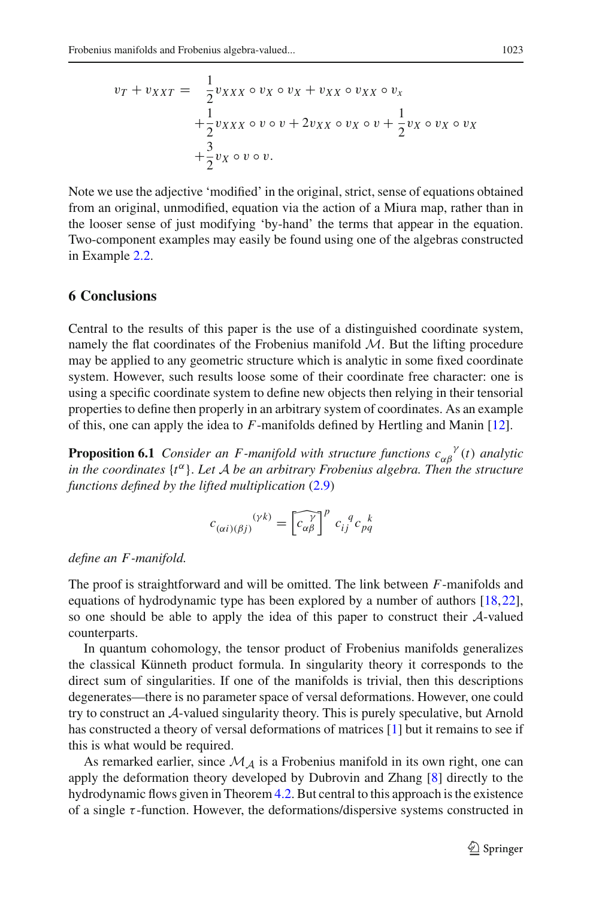$$
v_T + v_{XXT} = \frac{1}{2} v_{XXX} \circ v_X \circ v_X + v_{XX} \circ v_{XX} \circ v_X
$$
  
+ 
$$
\frac{1}{2} v_{XXX} \circ v \circ v + 2v_{XX} \circ v_X \circ v + \frac{1}{2} v_X \circ v_X \circ v_X
$$
  
+ 
$$
\frac{3}{2} v_X \circ v \circ v.
$$

Note we use the adjective 'modified' in the original, strict, sense of equations obtained from an original, unmodified, equation via the action of a Miura map, rather than in the looser sense of just modifying 'by-hand' the terms that appear in the equation. Two-component examples may easily be found using one of the algebras constructed in Example [2.2.](#page-3-2)

# <span id="page-26-0"></span>**6 Conclusions**

Central to the results of this paper is the use of a distinguished coordinate system, namely the flat coordinates of the Frobenius manifold  $M$ . But the lifting procedure may be applied to any geometric structure which is analytic in some fixed coordinate system. However, such results loose some of their coordinate free character: one is using a specific coordinate system to define new objects then relying in their tensorial properties to define then properly in an arbitrary system of coordinates. As an example of this, one can apply the idea to *F*-manifolds defined by Hertling and Manin [\[12\]](#page-28-15).

**Proposition 6.1** *Consider an F-manifold with structure functions*  $c_{\alpha\beta}^{\gamma}(t)$  *analytic in the coordinates*  $\{t^{\alpha}\}$ *. Let A be an arbitrary Frobenius algebra. Then the structure functions defined by the lifted multiplication* [\(2.9\)](#page-9-0)

$$
c_{(\alpha i)(\beta j)}^{ \quad \, (\gamma k)} = \left[\widetilde{c_{\alpha \beta}}^{\gamma}\right]^{p} \, c_{ij}^{\quad \, q} c_{pq}^{\quad \, k}
$$

#### *define an F -manifold.*

The proof is straightforward and will be omitted. The link between *F*-manifolds and equations of hydrodynamic type has been explored by a number of authors [\[18](#page-28-16)[,22](#page-29-4)], so one should be able to apply the idea of this paper to construct their *A*-valued counterparts.

In quantum cohomology, the tensor product of Frobenius manifolds generalizes the classical Künneth product formula. In singularity theory it corresponds to the direct sum of singularities. If one of the manifolds is trivial, then this descriptions degenerates—there is no parameter space of versal deformations. However, one could try to construct an *A*-valued singularity theory. This is purely speculative, but Arnold has constructed a theory of versal deformations of matrices [\[1](#page-28-17)] but it remains to see if this is what would be required.

As remarked earlier, since  $\mathcal{M}_A$  is a Frobenius manifold in its own right, one can apply the deformation theory developed by Dubrovin and Zhang [\[8\]](#page-28-18) directly to the hydrodynamic flows given in Theorem [4.2.](#page-18-0) But central to this approach is the existence of a single  $\tau$ -function. However, the deformations/dispersive systems constructed in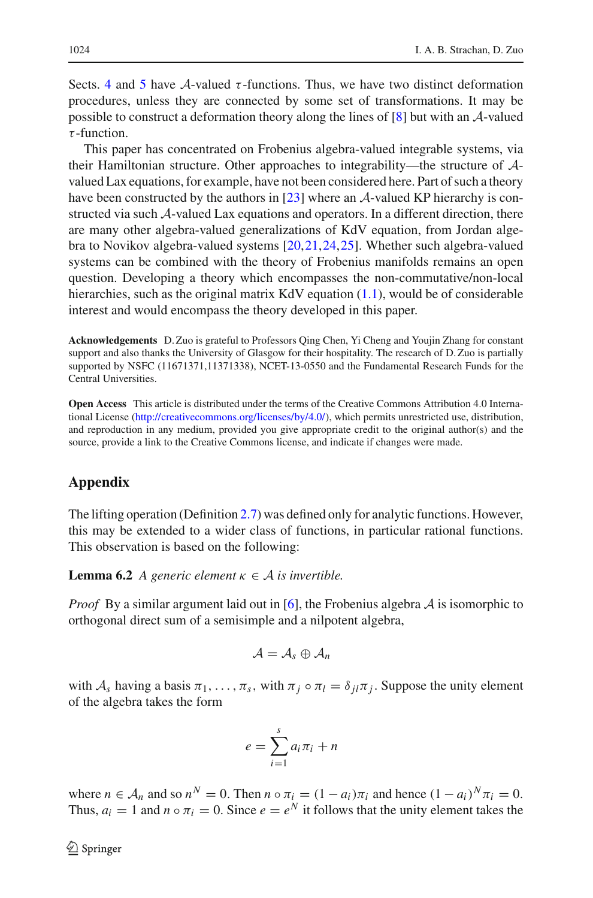Sects. [4](#page-16-1) and [5](#page-22-0) have *A*-valued  $\tau$ -functions. Thus, we have two distinct deformation procedures, unless they are connected by some set of transformations. It may be possible to construct a deformation theory along the lines of [\[8\]](#page-28-18) but with an *A*-valued  $\tau$ -function.

This paper has concentrated on Frobenius algebra-valued integrable systems, via their Hamiltonian structure. Other approaches to integrability—the structure of *A*valued Lax equations, for example, have not been considered here. Part of such a theory have been constructed by the authors in [\[23\]](#page-29-0) where an *A*-valued KP hierarchy is constructed via such *A*-valued Lax equations and operators. In a different direction, there are many other algebra-valued generalizations of KdV equation, from Jordan algebra to Novikov algebra-valued systems [\[20](#page-29-5)[,21](#page-29-3)[,24](#page-29-6),[25\]](#page-29-7). Whether such algebra-valued systems can be combined with the theory of Frobenius manifolds remains an open question. Developing a theory which encompasses the non-commutative/non-local hierarchies, such as the original matrix  $KdV$  equation [\(1.1\)](#page-1-1), would be of considerable interest and would encompass the theory developed in this paper.

**Acknowledgements** D. Zuo is grateful to Professors Qing Chen, Yi Cheng and Youjin Zhang for constant support and also thanks the University of Glasgow for their hospitality. The research of D. Zuo is partially supported by NSFC (11671371,11371338), NCET-13-0550 and the Fundamental Research Funds for the Central Universities.

**Open Access** This article is distributed under the terms of the Creative Commons Attribution 4.0 International License [\(http://creativecommons.org/licenses/by/4.0/\)](http://creativecommons.org/licenses/by/4.0/), which permits unrestricted use, distribution, and reproduction in any medium, provided you give appropriate credit to the original author(s) and the source, provide a link to the Creative Commons license, and indicate if changes were made.

# <span id="page-27-0"></span>**Appendix**

The lifting operation (Definition [2.7\)](#page-7-2) was defined only for analytic functions. However, this may be extended to a wider class of functions, in particular rational functions. This observation is based on the following:

**Lemma 6.2** *A generic element*  $\kappa \in A$  *is invertible.* 

*Proof* By a similar argument laid out in [\[6](#page-28-7)], the Frobenius algebra *A* is isomorphic to orthogonal direct sum of a semisimple and a nilpotent algebra,

$$
\mathcal{A}=\mathcal{A}_s\oplus\mathcal{A}_n
$$

with  $A_s$  having a basis  $\pi_1, \ldots, \pi_s$ , with  $\pi_j \circ \pi_l = \delta_{jl} \pi_j$ . Suppose the unity element of the algebra takes the form

$$
e = \sum_{i=1}^{s} a_i \pi_i + n
$$

where  $n \in A_n$  and so  $n^N = 0$ . Then  $n \circ \pi_i = (1 - a_i)\pi_i$  and hence  $(1 - a_i)^N \pi_i = 0$ . Thus,  $a_i = 1$  and  $n \circ \pi_i = 0$ . Since  $e = e^N$  it follows that the unity element takes the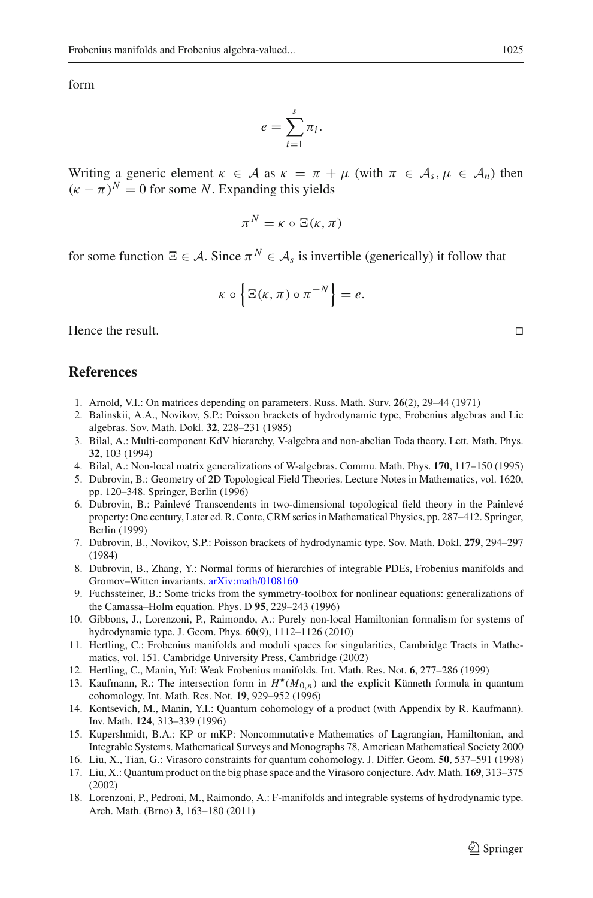form

$$
e=\sum_{i=1}^s\pi_i.
$$

Writing a generic element  $\kappa \in A$  as  $\kappa = \pi + \mu$  (with  $\pi \in A_s$ ,  $\mu \in A_n$ ) then  $(\kappa - \pi)^N = 0$  for some *N*. Expanding this yields

$$
\pi^N = \kappa \circ \Xi(\kappa, \pi)
$$

for some function  $\Xi \in \mathcal{A}$ . Since  $\pi^N \in \mathcal{A}_s$  is invertible (generically) it follow that

$$
\kappa \circ \Big\{ \Xi(\kappa, \pi) \circ \pi^{-N} \Big\} = e.
$$

Hence the result.

# <span id="page-28-2"></span>**References**

- <span id="page-28-17"></span>1. Arnold, V.I.: On matrices depending on parameters. Russ. Math. Surv. **26**(2), 29–44 (1971)
- <span id="page-28-12"></span>2. Balinskii, A.A., Novikov, S.P.: Poisson brackets of hydrodynamic type, Frobenius algebras and Lie algebras. Sov. Math. Dokl. **32**, 228–231 (1985)
- <span id="page-28-3"></span>3. Bilal, A.: Multi-component KdV hierarchy, V-algebra and non-abelian Toda theory. Lett. Math. Phys. **32**, 103 (1994)
- <span id="page-28-4"></span>4. Bilal, A.: Non-local matrix generalizations of W-algebras. Commu. Math. Phys. **170**, 117–150 (1995)
- <span id="page-28-6"></span>5. Dubrovin, B.: Geometry of 2D Topological Field Theories. Lecture Notes in Mathematics, vol. 1620, pp. 120–348. Springer, Berlin (1996)
- <span id="page-28-7"></span>6. Dubrovin, B.: Painlevé Transcendents in two-dimensional topological field theory in the Painlevé property: One century, Later ed. R. Conte, CRM series in Mathematical Physics, pp. 287–412. Springer, Berlin (1999)
- <span id="page-28-11"></span>7. Dubrovin, B., Novikov, S.P.: Poisson brackets of hydrodynamic type. Sov. Math. Dokl. **279**, 294–297 (1984)
- <span id="page-28-18"></span>8. Dubrovin, B., Zhang, Y.: Normal forms of hierarchies of integrable PDEs, Frobenius manifolds and Gromov–Witten invariants. [arXiv:math/0108160](http://arxiv.org/abs/math/0108160)
- <span id="page-28-14"></span>9. Fuchssteiner, B.: Some tricks from the symmetry-toolbox for nonlinear equations: generalizations of the Camassa–Holm equation. Phys. D **95**, 229–243 (1996)
- <span id="page-28-13"></span>10. Gibbons, J., Lorenzoni, P., Raimondo, A.: Purely non-local Hamiltonian formalism for systems of hydrodynamic type. J. Geom. Phys. **60**(9), 1112–1126 (2010)
- <span id="page-28-8"></span>11. Hertling, C.: Frobenius manifolds and moduli spaces for singularities, Cambridge Tracts in Mathematics, vol. 151. Cambridge University Press, Cambridge (2002)
- <span id="page-28-15"></span>12. Hertling, C., Manin, YuI: Weak Frobenius manifolds. Int. Math. Res. Not. **6**, 277–286 (1999)
- <span id="page-28-0"></span>13. Kaufmann, R.: The intersection form in  $H^*(\overline{M}_{0,n})$  and the explicit Künneth formula in quantum cohomology. Int. Math. Res. Not. **19**, 929–952 (1996)
- <span id="page-28-1"></span>14. Kontsevich, M., Manin, Y.I.: Quantum cohomology of a product (with Appendix by R. Kaufmann). Inv. Math. **124**, 313–339 (1996)
- <span id="page-28-5"></span>15. Kupershmidt, B.A.: KP or mKP: Noncommutative Mathematics of Lagrangian, Hamiltonian, and Integrable Systems. Mathematical Surveys and Monographs 78, American Mathematical Society 2000
- <span id="page-28-9"></span>16. Liu, X., Tian, G.: Virasoro constraints for quantum cohomology. J. Differ. Geom. **50**, 537–591 (1998)
- <span id="page-28-10"></span>17. Liu, X.: Quantum product on the big phase space and the Virasoro conjecture. Adv. Math. **169**, 313–375 (2002)
- <span id="page-28-16"></span>18. Lorenzoni, P., Pedroni, M., Raimondo, A.: F-manifolds and integrable systems of hydrodynamic type. Arch. Math. (Brno) **3**, 163–180 (2011)